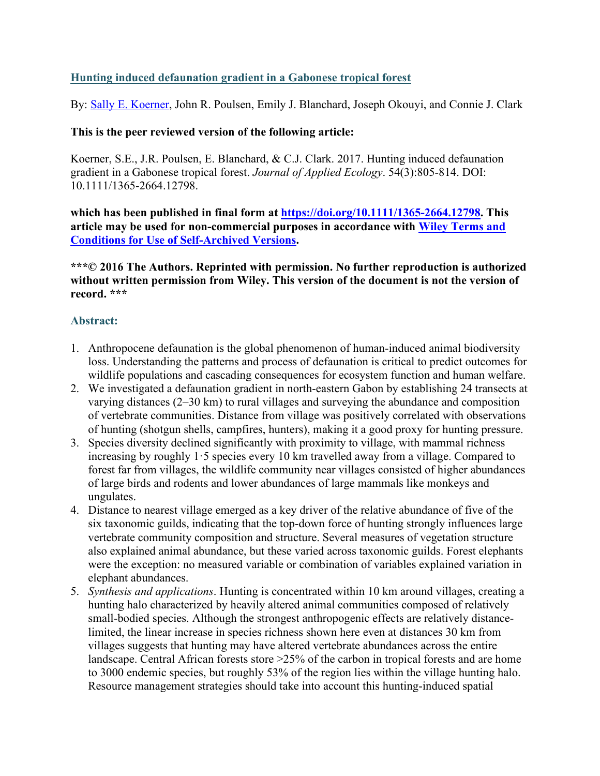# **Hunting induced defaunation gradient in a Gabonese tropical forest**

By: [Sally E. Koerner,](https://libres.uncg.edu/ir/uncg/clist.aspx?id=24002) John R. Poulsen, Emily J. Blanchard, Joseph Okouyi, and Connie J. Clark

## **This is the peer reviewed version of the following article:**

Koerner, S.E., J.R. Poulsen, E. Blanchard, & C.J. Clark. 2017. Hunting induced defaunation gradient in a Gabonese tropical forest. *Journal of Applied Ecology*. 54(3):805-814. DOI: 10.1111/1365-2664.12798.

**which has been published in final form at [https://doi.org/10.1111/1365-2664.12798.](https://doi.org/10.1111/1365-2664.12798) This article may be used for non-commercial purposes in accordance with [Wiley Terms and](https://authorservices.wiley.com/author-resources/Journal-Authors/licensing/self-archiving.html#3)  [Conditions for Use of Self-Archived Versions.](https://authorservices.wiley.com/author-resources/Journal-Authors/licensing/self-archiving.html#3)**

**\*\*\*© 2016 The Authors. Reprinted with permission. No further reproduction is authorized without written permission from Wiley. This version of the document is not the version of record. \*\*\***

# **Abstract:**

- 1. Anthropocene defaunation is the global phenomenon of human‐induced animal biodiversity loss. Understanding the patterns and process of defaunation is critical to predict outcomes for wildlife populations and cascading consequences for ecosystem function and human welfare.
- 2. We investigated a defaunation gradient in north‐eastern Gabon by establishing 24 transects at varying distances (2–30 km) to rural villages and surveying the abundance and composition of vertebrate communities. Distance from village was positively correlated with observations of hunting (shotgun shells, campfires, hunters), making it a good proxy for hunting pressure.
- 3. Species diversity declined significantly with proximity to village, with mammal richness increasing by roughly 1·5 species every 10 km travelled away from a village. Compared to forest far from villages, the wildlife community near villages consisted of higher abundances of large birds and rodents and lower abundances of large mammals like monkeys and ungulates.
- 4. Distance to nearest village emerged as a key driver of the relative abundance of five of the six taxonomic guilds, indicating that the top‐down force of hunting strongly influences large vertebrate community composition and structure. Several measures of vegetation structure also explained animal abundance, but these varied across taxonomic guilds. Forest elephants were the exception: no measured variable or combination of variables explained variation in elephant abundances.
- 5. *Synthesis and applications*. Hunting is concentrated within 10 km around villages, creating a hunting halo characterized by heavily altered animal communities composed of relatively small-bodied species. Although the strongest anthropogenic effects are relatively distancelimited, the linear increase in species richness shown here even at distances 30 km from villages suggests that hunting may have altered vertebrate abundances across the entire landscape. Central African forests store >25% of the carbon in tropical forests and are home to 3000 endemic species, but roughly 53% of the region lies within the village hunting halo. Resource management strategies should take into account this hunting-induced spatial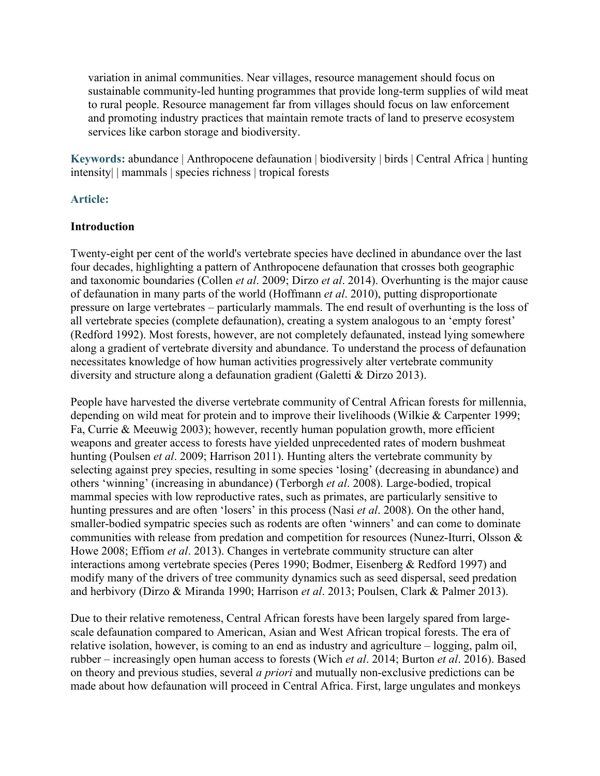variation in animal communities. Near villages, resource management should focus on sustainable community-led hunting programmes that provide long-term supplies of wild meat to rural people. Resource management far from villages should focus on law enforcement and promoting industry practices that maintain remote tracts of land to preserve ecosystem services like carbon storage and biodiversity.

**Keywords:** abundance | Anthropocene defaunation | biodiversity | birds | Central Africa | hunting intensity| | mammals | species richness | tropical forests

## **Article:**

## **Introduction**

Twenty‐eight per cent of the world's vertebrate species have declined in abundance over the last four decades, highlighting a pattern of Anthropocene defaunation that crosses both geographic and taxonomic boundaries (Collen *et al*. 2009; Dirzo *et al*. 2014). Overhunting is the major cause of defaunation in many parts of the world (Hoffmann *et al*. 2010), putting disproportionate pressure on large vertebrates – particularly mammals. The end result of overhunting is the loss of all vertebrate species (complete defaunation), creating a system analogous to an 'empty forest' (Redford 1992). Most forests, however, are not completely defaunated, instead lying somewhere along a gradient of vertebrate diversity and abundance. To understand the process of defaunation necessitates knowledge of how human activities progressively alter vertebrate community diversity and structure along a defaunation gradient (Galetti & Dirzo 2013).

People have harvested the diverse vertebrate community of Central African forests for millennia, depending on wild meat for protein and to improve their livelihoods (Wilkie & Carpenter 1999; Fa, Currie & Meeuwig 2003); however, recently human population growth, more efficient weapons and greater access to forests have yielded unprecedented rates of modern bushmeat hunting (Poulsen *et al*. 2009; Harrison 2011). Hunting alters the vertebrate community by selecting against prey species, resulting in some species 'losing' (decreasing in abundance) and others 'winning' (increasing in abundance) (Terborgh *et al*. 2008). Large‐bodied, tropical mammal species with low reproductive rates, such as primates, are particularly sensitive to hunting pressures and are often 'losers' in this process (Nasi *et al*. 2008). On the other hand, smaller-bodied sympatric species such as rodents are often 'winners' and can come to dominate communities with release from predation and competition for resources (Nunez-Iturri, Olsson & Howe 2008; Effiom *et al*. 2013). Changes in vertebrate community structure can alter interactions among vertebrate species (Peres 1990; Bodmer, Eisenberg & Redford 1997) and modify many of the drivers of tree community dynamics such as seed dispersal, seed predation and herbivory (Dirzo & Miranda 1990; Harrison *et al*. 2013; Poulsen, Clark & Palmer 2013).

Due to their relative remoteness, Central African forests have been largely spared from largescale defaunation compared to American, Asian and West African tropical forests. The era of relative isolation, however, is coming to an end as industry and agriculture – logging, palm oil, rubber – increasingly open human access to forests (Wich *et al*. 2014; Burton *et al*. 2016). Based on theory and previous studies, several *a priori* and mutually non‐exclusive predictions can be made about how defaunation will proceed in Central Africa. First, large ungulates and monkeys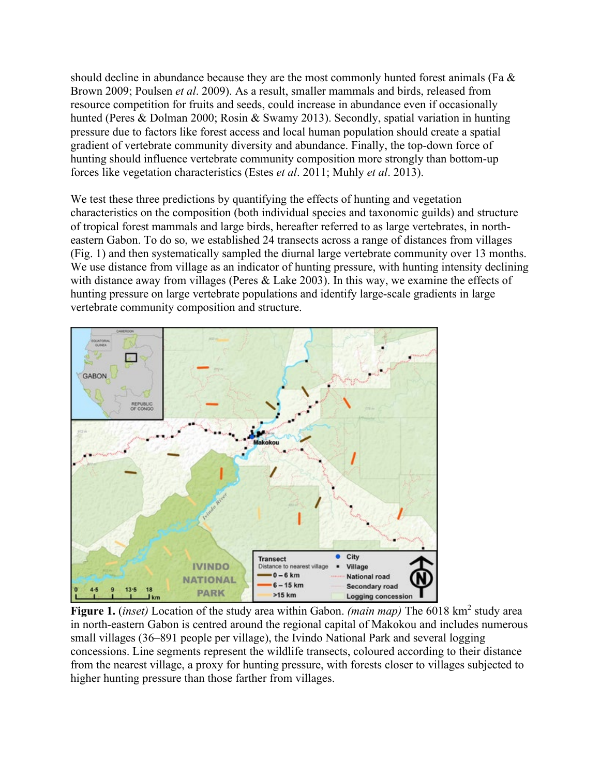should decline in abundance because they are the most commonly hunted forest animals (Fa & Brown 2009; Poulsen *et al*. 2009). As a result, smaller mammals and birds, released from resource competition for fruits and seeds, could increase in abundance even if occasionally hunted (Peres & Dolman 2000; Rosin & Swamy 2013). Secondly, spatial variation in hunting pressure due to factors like forest access and local human population should create a spatial gradient of vertebrate community diversity and abundance. Finally, the top‐down force of hunting should influence vertebrate community composition more strongly than bottom‐up forces like vegetation characteristics (Estes *et al*. 2011; Muhly *et al*. 2013).

We test these three predictions by quantifying the effects of hunting and vegetation characteristics on the composition (both individual species and taxonomic guilds) and structure of tropical forest mammals and large birds, hereafter referred to as large vertebrates, in north‐ eastern Gabon. To do so, we established 24 transects across a range of distances from villages (Fig. 1) and then systematically sampled the diurnal large vertebrate community over 13 months. We use distance from village as an indicator of hunting pressure, with hunting intensity declining with distance away from villages (Peres & Lake 2003). In this way, we examine the effects of hunting pressure on large vertebrate populations and identify large‐scale gradients in large vertebrate community composition and structure.



**Figure 1.** *(inset)* Location of the study area within Gabon. *(main map)* The 6018 km<sup>2</sup> study area in north-eastern Gabon is centred around the regional capital of Makokou and includes numerous small villages (36–891 people per village), the Ivindo National Park and several logging concessions. Line segments represent the wildlife transects, coloured according to their distance from the nearest village, a proxy for hunting pressure, with forests closer to villages subjected to higher hunting pressure than those farther from villages.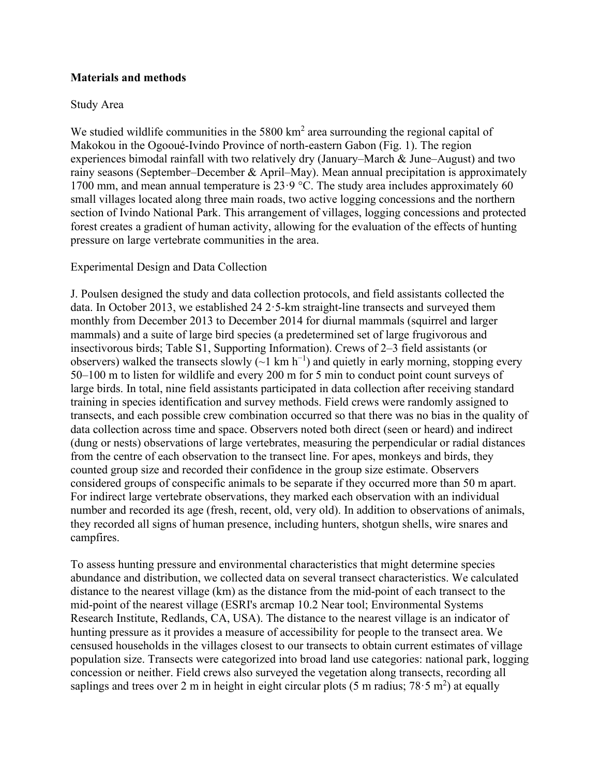## **Materials and methods**

## Study Area

We studied wildlife communities in the  $5800 \text{ km}^2$  area surrounding the regional capital of Makokou in the Ogooué‐Ivindo Province of north‐eastern Gabon (Fig. 1). The region experiences bimodal rainfall with two relatively dry (January–March & June–August) and two rainy seasons (September–December & April–May). Mean annual precipitation is approximately 1700 mm, and mean annual temperature is  $23.9$  °C. The study area includes approximately 60 small villages located along three main roads, two active logging concessions and the northern section of Ivindo National Park. This arrangement of villages, logging concessions and protected forest creates a gradient of human activity, allowing for the evaluation of the effects of hunting pressure on large vertebrate communities in the area.

## Experimental Design and Data Collection

J. Poulsen designed the study and data collection protocols, and field assistants collected the data. In October 2013, we established 24  $2 \cdot 5$ -km straight-line transects and surveyed them monthly from December 2013 to December 2014 for diurnal mammals (squirrel and larger mammals) and a suite of large bird species (a predetermined set of large frugivorous and insectivorous birds; Table S1, Supporting Information). Crews of 2–3 field assistants (or observers) walked the transects slowly ( $\sim$ 1 km h<sup>-1</sup>) and quietly in early morning, stopping every 50–100 m to listen for wildlife and every 200 m for 5 min to conduct point count surveys of large birds. In total, nine field assistants participated in data collection after receiving standard training in species identification and survey methods. Field crews were randomly assigned to transects, and each possible crew combination occurred so that there was no bias in the quality of data collection across time and space. Observers noted both direct (seen or heard) and indirect (dung or nests) observations of large vertebrates, measuring the perpendicular or radial distances from the centre of each observation to the transect line. For apes, monkeys and birds, they counted group size and recorded their confidence in the group size estimate. Observers considered groups of conspecific animals to be separate if they occurred more than 50 m apart. For indirect large vertebrate observations, they marked each observation with an individual number and recorded its age (fresh, recent, old, very old). In addition to observations of animals, they recorded all signs of human presence, including hunters, shotgun shells, wire snares and campfires.

To assess hunting pressure and environmental characteristics that might determine species abundance and distribution, we collected data on several transect characteristics. We calculated distance to the nearest village (km) as the distance from the mid‐point of each transect to the mid‐point of the nearest village (ESRI's arcmap 10.2 Near tool; Environmental Systems Research Institute, Redlands, CA, USA). The distance to the nearest village is an indicator of hunting pressure as it provides a measure of accessibility for people to the transect area. We censused households in the villages closest to our transects to obtain current estimates of village population size. Transects were categorized into broad land use categories: national park, logging concession or neither. Field crews also surveyed the vegetation along transects, recording all saplings and trees over 2 m in height in eight circular plots (5 m radius;  $78.5 \text{ m}^2$ ) at equally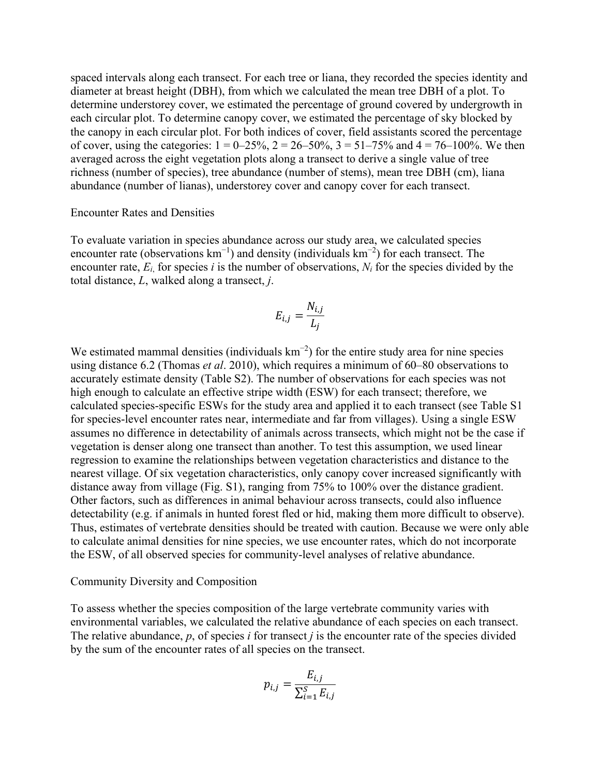spaced intervals along each transect. For each tree or liana, they recorded the species identity and diameter at breast height (DBH), from which we calculated the mean tree DBH of a plot. To determine understorey cover, we estimated the percentage of ground covered by undergrowth in each circular plot. To determine canopy cover, we estimated the percentage of sky blocked by the canopy in each circular plot. For both indices of cover, field assistants scored the percentage of cover, using the categories:  $1 = 0-25\%$ ,  $2 = 26-50\%$ ,  $3 = 51-75\%$  and  $4 = 76-100\%$ . We then averaged across the eight vegetation plots along a transect to derive a single value of tree richness (number of species), tree abundance (number of stems), mean tree DBH (cm), liana abundance (number of lianas), understorey cover and canopy cover for each transect.

#### Encounter Rates and Densities

To evaluate variation in species abundance across our study area, we calculated species encounter rate (observations  $km^{-1}$ ) and density (individuals  $km^{-2}$ ) for each transect. The encounter rate,  $E_i$  for species *i* is the number of observations,  $N_i$  for the species divided by the total distance, *L*, walked along a transect, *j*.

$$
E_{i,j} = \frac{N_{i,j}}{L_j}
$$

We estimated mammal densities (individuals  $km^{-2}$ ) for the entire study area for nine species using distance 6.2 (Thomas *et al*. 2010), which requires a minimum of 60–80 observations to accurately estimate density (Table S2). The number of observations for each species was not high enough to calculate an effective stripe width (ESW) for each transect; therefore, we calculated species‐specific ESWs for the study area and applied it to each transect (see Table S1 for species-level encounter rates near, intermediate and far from villages). Using a single ESW assumes no difference in detectability of animals across transects, which might not be the case if vegetation is denser along one transect than another. To test this assumption, we used linear regression to examine the relationships between vegetation characteristics and distance to the nearest village. Of six vegetation characteristics, only canopy cover increased significantly with distance away from village (Fig. S1), ranging from 75% to 100% over the distance gradient. Other factors, such as differences in animal behaviour across transects, could also influence detectability (e.g. if animals in hunted forest fled or hid, making them more difficult to observe). Thus, estimates of vertebrate densities should be treated with caution. Because we were only able to calculate animal densities for nine species, we use encounter rates, which do not incorporate the ESW, of all observed species for community‐level analyses of relative abundance.

#### Community Diversity and Composition

To assess whether the species composition of the large vertebrate community varies with environmental variables, we calculated the relative abundance of each species on each transect. The relative abundance, *p*, of species *i* for transect *j* is the encounter rate of the species divided by the sum of the encounter rates of all species on the transect.

$$
p_{i,j} = \frac{E_{i,j}}{\sum_{i=1}^{S} E_{i,j}}
$$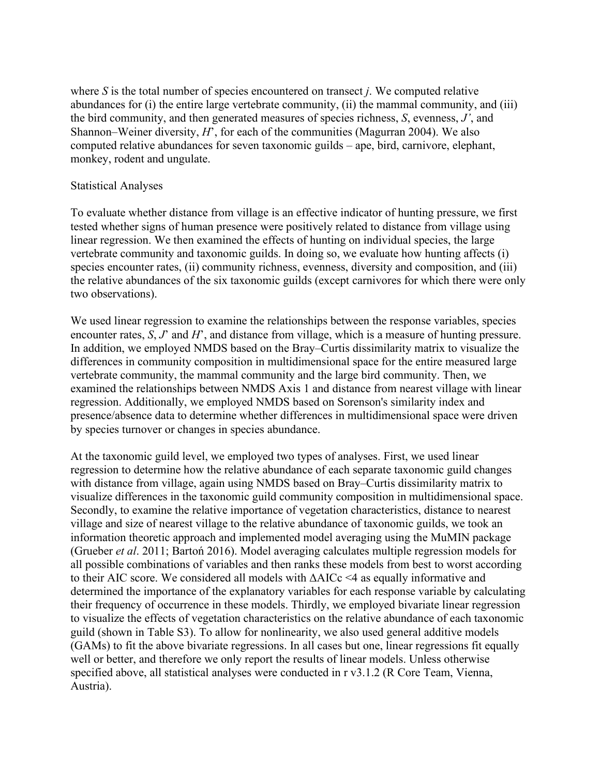where *S* is the total number of species encountered on transect *j*. We computed relative abundances for (i) the entire large vertebrate community, (ii) the mammal community, and (iii) the bird community, and then generated measures of species richness, *S*, evenness, *J'*, and Shannon–Weiner diversity, *H*', for each of the communities (Magurran 2004). We also computed relative abundances for seven taxonomic guilds – ape, bird, carnivore, elephant, monkey, rodent and ungulate.

#### Statistical Analyses

To evaluate whether distance from village is an effective indicator of hunting pressure, we first tested whether signs of human presence were positively related to distance from village using linear regression. We then examined the effects of hunting on individual species, the large vertebrate community and taxonomic guilds. In doing so, we evaluate how hunting affects (i) species encounter rates, (ii) community richness, evenness, diversity and composition, and (iii) the relative abundances of the six taxonomic guilds (except carnivores for which there were only two observations).

We used linear regression to examine the relationships between the response variables, species encounter rates, *S*, *J*' and *H*', and distance from village, which is a measure of hunting pressure. In addition, we employed NMDS based on the Bray–Curtis dissimilarity matrix to visualize the differences in community composition in multidimensional space for the entire measured large vertebrate community, the mammal community and the large bird community. Then, we examined the relationships between NMDS Axis 1 and distance from nearest village with linear regression. Additionally, we employed NMDS based on Sorenson's similarity index and presence/absence data to determine whether differences in multidimensional space were driven by species turnover or changes in species abundance.

At the taxonomic guild level, we employed two types of analyses. First, we used linear regression to determine how the relative abundance of each separate taxonomic guild changes with distance from village, again using NMDS based on Bray–Curtis dissimilarity matrix to visualize differences in the taxonomic guild community composition in multidimensional space. Secondly, to examine the relative importance of vegetation characteristics, distance to nearest village and size of nearest village to the relative abundance of taxonomic guilds, we took an information theoretic approach and implemented model averaging using the MuMIN package (Grueber *et al*. 2011; Bartoń 2016). Model averaging calculates multiple regression models for all possible combinations of variables and then ranks these models from best to worst according to their AIC score. We considered all models with ΔAICc <4 as equally informative and determined the importance of the explanatory variables for each response variable by calculating their frequency of occurrence in these models. Thirdly, we employed bivariate linear regression to visualize the effects of vegetation characteristics on the relative abundance of each taxonomic guild (shown in Table S3). To allow for nonlinearity, we also used general additive models (GAMs) to fit the above bivariate regressions. In all cases but one, linear regressions fit equally well or better, and therefore we only report the results of linear models. Unless otherwise specified above, all statistical analyses were conducted in r v3.1.2 (R Core Team, Vienna, Austria).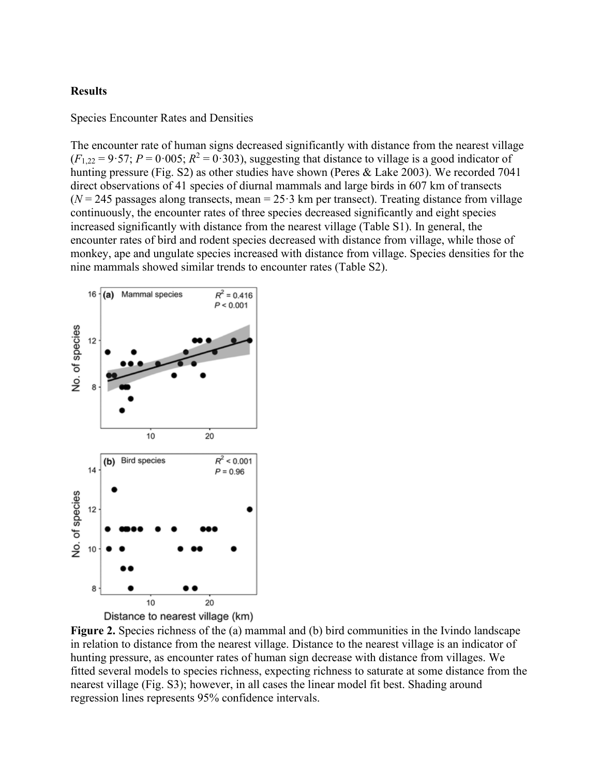#### **Results**

Species Encounter Rates and Densities

The encounter rate of human signs decreased significantly with distance from the nearest village  $(F_{1,22} = 9.57; P = 0.005; R^2 = 0.303)$ , suggesting that distance to village is a good indicator of hunting pressure (Fig. S2) as other studies have shown (Peres & Lake 2003). We recorded 7041 direct observations of 41 species of diurnal mammals and large birds in 607 km of transects  $(N = 245$  passages along transects, mean =  $25.3$  km per transect). Treating distance from village continuously, the encounter rates of three species decreased significantly and eight species increased significantly with distance from the nearest village (Table S1). In general, the encounter rates of bird and rodent species decreased with distance from village, while those of monkey, ape and ungulate species increased with distance from village. Species densities for the nine mammals showed similar trends to encounter rates (Table S2).



Distance to nearest village (km)

**Figure 2.** Species richness of the (a) mammal and (b) bird communities in the Ivindo landscape in relation to distance from the nearest village. Distance to the nearest village is an indicator of hunting pressure, as encounter rates of human sign decrease with distance from villages. We fitted several models to species richness, expecting richness to saturate at some distance from the nearest village (Fig. S3); however, in all cases the linear model fit best. Shading around regression lines represents 95% confidence intervals.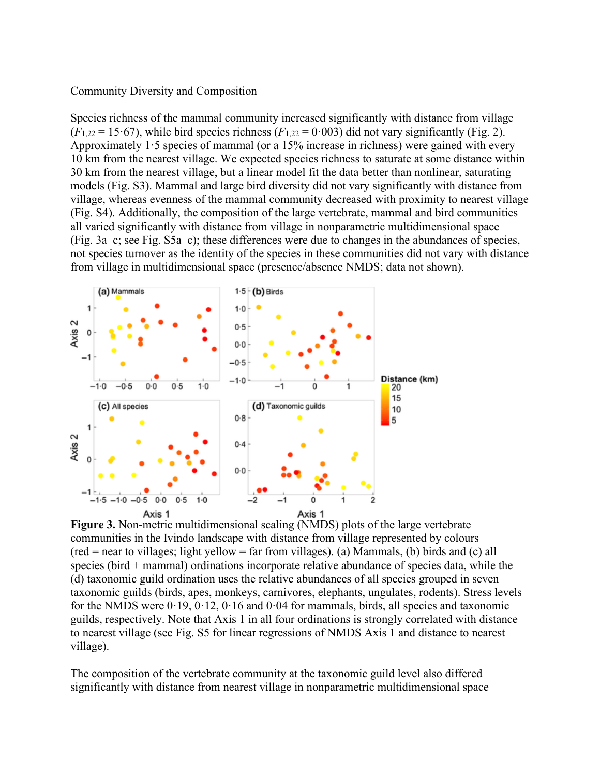#### Community Diversity and Composition

Species richness of the mammal community increased significantly with distance from village  $(F_{1,22} = 15.67)$ , while bird species richness  $(F_{1,22} = 0.003)$  did not vary significantly (Fig. 2). Approximately  $1.5$  species of mammal (or a 15% increase in richness) were gained with every 10 km from the nearest village. We expected species richness to saturate at some distance within 30 km from the nearest village, but a linear model fit the data better than nonlinear, saturating models (Fig. S3). Mammal and large bird diversity did not vary significantly with distance from village, whereas evenness of the mammal community decreased with proximity to nearest village (Fig. S4). Additionally, the composition of the large vertebrate, mammal and bird communities all varied significantly with distance from village in nonparametric multidimensional space (Fig. 3a–c; see Fig. S5a–c); these differences were due to changes in the abundances of species, not species turnover as the identity of the species in these communities did not vary with distance from village in multidimensional space (presence/absence NMDS; data not shown).



**Figure 3.** Non-metric multidimensional scaling (NMDS) plots of the large vertebrate communities in the Ivindo landscape with distance from village represented by colours  $(\text{red} = \text{near to villages}; \text{light yellow} = \text{far from villages}).$  (a) Mammals, (b) birds and (c) all species (bird + mammal) ordinations incorporate relative abundance of species data, while the (d) taxonomic guild ordination uses the relative abundances of all species grouped in seven taxonomic guilds (birds, apes, monkeys, carnivores, elephants, ungulates, rodents). Stress levels for the NMDS were  $0.19, 0.12, 0.16$  and  $0.04$  for mammals, birds, all species and taxonomic guilds, respectively. Note that Axis 1 in all four ordinations is strongly correlated with distance to nearest village (see Fig. S5 for linear regressions of NMDS Axis 1 and distance to nearest village).

The composition of the vertebrate community at the taxonomic guild level also differed significantly with distance from nearest village in nonparametric multidimensional space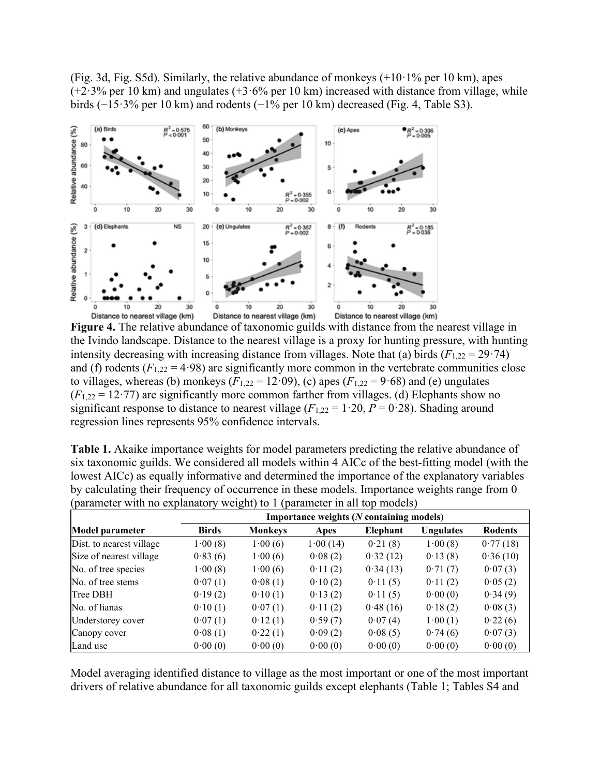(Fig. 3d, Fig. S5d). Similarly, the relative abundance of monkeys  $(+10.1\%$  per 10 km), apes  $(+2.3\%$  per 10 km) and ungulates  $(+3.6\%$  per 10 km) increased with distance from village, while birds (−15·3% per 10 km) and rodents (−1% per 10 km) decreased (Fig. 4, Table S3).



**Figure 4.** The relative abundance of taxonomic guilds with distance from the nearest village in the Ivindo landscape. Distance to the nearest village is a proxy for hunting pressure, with hunting intensity decreasing with increasing distance from villages. Note that (a) birds  $(F_{1,22} = 29.74)$ and (f) rodents  $(F_{1,22} = 4.98)$  are significantly more common in the vertebrate communities close to villages, whereas (b) monkeys  $(F_{1,22} = 12.09)$ , (c) apes  $(F_{1,22} = 9.68)$  and (e) ungulates  $(F_{1,22} = 12.77)$  are significantly more common farther from villages. (d) Elephants show no significant response to distance to nearest village  $(F_{1,22} = 1.20, P = 0.28)$ . Shading around regression lines represents 95% confidence intervals.

| <b>Table 1.</b> Akaike importance weights for model parameters predicting the relative abundance of |
|-----------------------------------------------------------------------------------------------------|
| six taxonomic guilds. We considered all models within 4 AICc of the best-fitting model (with the    |
| lowest AICc) as equally informative and determined the importance of the explanatory variables      |
| by calculating their frequency of occurrence in these models. Importance weights range from 0       |
| (parameter with no explanatory weight) to 1 (parameter in all top models)                           |

|                          | Importance weights (N containing models) |                |          |                 |                  |                |  |  |  |
|--------------------------|------------------------------------------|----------------|----------|-----------------|------------------|----------------|--|--|--|
| <b>Model parameter</b>   | <b>Birds</b>                             | <b>Monkeys</b> | Apes     | <b>Elephant</b> | <b>Ungulates</b> | <b>Rodents</b> |  |  |  |
| Dist. to nearest village | 1.00(8)                                  | 1.00(6)        | 1.00(14) | 0.21(8)         | 1.00(8)          | 0.77(18)       |  |  |  |
| Size of nearest village  | 0.83(6)                                  | 1.00(6)        | 0.08(2)  | 0.32(12)        | 0.13(8)          | 0.36(10)       |  |  |  |
| No. of tree species      | 1.00(8)                                  | 1.00(6)        | 0.11(2)  | 0.34(13)        | 0.71(7)          | 0.07(3)        |  |  |  |
| No. of tree stems        | 0.07(1)                                  | 0.08(1)        | 0.10(2)  | 0.11(5)         | 0.11(2)          | 0.05(2)        |  |  |  |
| Tree DBH                 | 0.19(2)                                  | 0.10(1)        | 0.13(2)  | 0.11(5)         | 0.00(0)          | 0.34(9)        |  |  |  |
| No. of lianas            | 0.10(1)                                  | 0.07(1)        | 0.11(2)  | 0.48(16)        | 0.18(2)          | 0.08(3)        |  |  |  |
| Understorey cover        | 0.07(1)                                  | 0.12(1)        | 0.59(7)  | 0.07(4)         | 1.00(1)          | 0.22(6)        |  |  |  |
| Canopy cover             | 0.08(1)                                  | 0.22(1)        | 0.09(2)  | 0.08(5)         | 0.74(6)          | 0.07(3)        |  |  |  |
| Land use                 | 0.00(0)                                  | 0.00(0)        | 0.00(0)  | 0.00(0)         | 0.00(0)          | 0.00(0)        |  |  |  |

Model averaging identified distance to village as the most important or one of the most important drivers of relative abundance for all taxonomic guilds except elephants (Table 1; Tables S4 and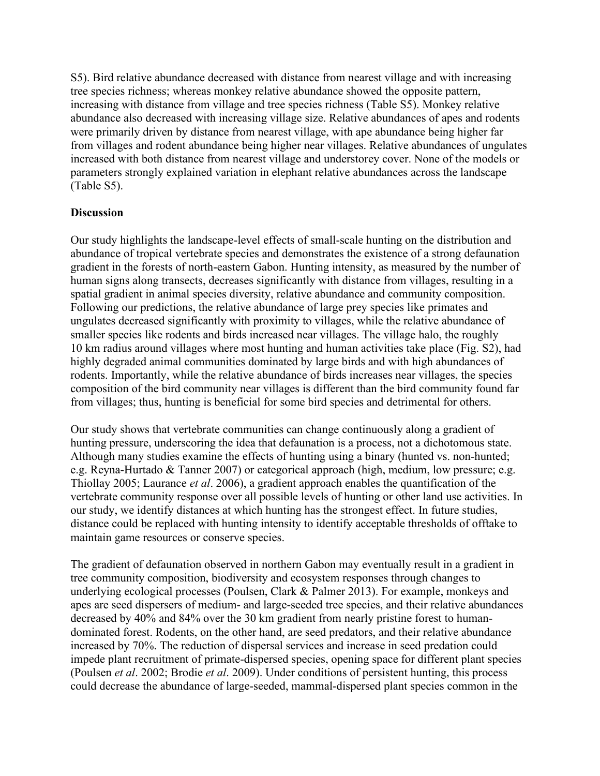S5). Bird relative abundance decreased with distance from nearest village and with increasing tree species richness; whereas monkey relative abundance showed the opposite pattern, increasing with distance from village and tree species richness (Table S5). Monkey relative abundance also decreased with increasing village size. Relative abundances of apes and rodents were primarily driven by distance from nearest village, with ape abundance being higher far from villages and rodent abundance being higher near villages. Relative abundances of ungulates increased with both distance from nearest village and understorey cover. None of the models or parameters strongly explained variation in elephant relative abundances across the landscape (Table S5).

## **Discussion**

Our study highlights the landscape‐level effects of small‐scale hunting on the distribution and abundance of tropical vertebrate species and demonstrates the existence of a strong defaunation gradient in the forests of north‐eastern Gabon. Hunting intensity, as measured by the number of human signs along transects, decreases significantly with distance from villages, resulting in a spatial gradient in animal species diversity, relative abundance and community composition. Following our predictions, the relative abundance of large prey species like primates and ungulates decreased significantly with proximity to villages, while the relative abundance of smaller species like rodents and birds increased near villages. The village halo, the roughly 10 km radius around villages where most hunting and human activities take place (Fig. S2), had highly degraded animal communities dominated by large birds and with high abundances of rodents. Importantly, while the relative abundance of birds increases near villages, the species composition of the bird community near villages is different than the bird community found far from villages; thus, hunting is beneficial for some bird species and detrimental for others.

Our study shows that vertebrate communities can change continuously along a gradient of hunting pressure, underscoring the idea that defaunation is a process, not a dichotomous state. Although many studies examine the effects of hunting using a binary (hunted vs. non-hunted; e.g. Reyna‐Hurtado & Tanner 2007) or categorical approach (high, medium, low pressure; e.g. Thiollay 2005; Laurance *et al*. 2006), a gradient approach enables the quantification of the vertebrate community response over all possible levels of hunting or other land use activities. In our study, we identify distances at which hunting has the strongest effect. In future studies, distance could be replaced with hunting intensity to identify acceptable thresholds of offtake to maintain game resources or conserve species.

The gradient of defaunation observed in northern Gabon may eventually result in a gradient in tree community composition, biodiversity and ecosystem responses through changes to underlying ecological processes (Poulsen, Clark & Palmer 2013). For example, monkeys and apes are seed dispersers of medium‐ and large‐seeded tree species, and their relative abundances decreased by 40% and 84% over the 30 km gradient from nearly pristine forest to human‐ dominated forest. Rodents, on the other hand, are seed predators, and their relative abundance increased by 70%. The reduction of dispersal services and increase in seed predation could impede plant recruitment of primate‐dispersed species, opening space for different plant species (Poulsen *et al*. 2002; Brodie *et al*. 2009). Under conditions of persistent hunting, this process could decrease the abundance of large‐seeded, mammal‐dispersed plant species common in the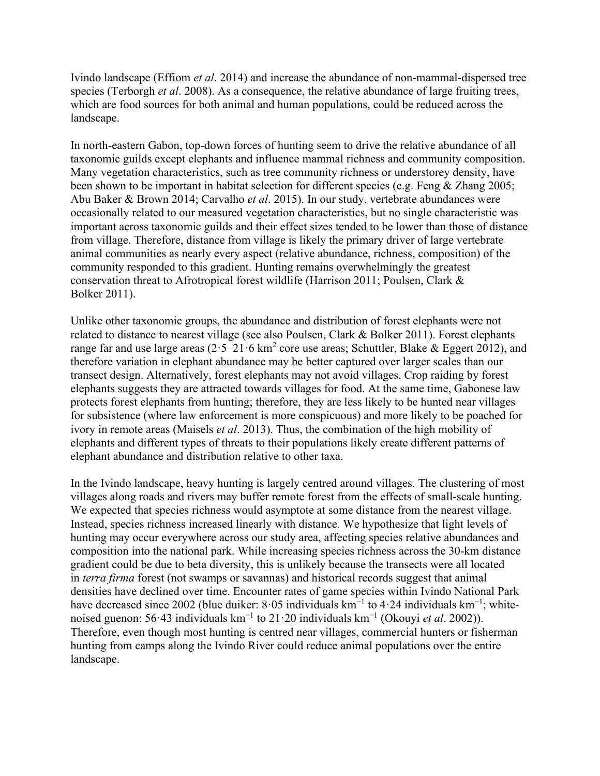Ivindo landscape (Effiom *et al*. 2014) and increase the abundance of non‐mammal‐dispersed tree species (Terborgh *et al*. 2008). As a consequence, the relative abundance of large fruiting trees, which are food sources for both animal and human populations, could be reduced across the landscape.

In north-eastern Gabon, top-down forces of hunting seem to drive the relative abundance of all taxonomic guilds except elephants and influence mammal richness and community composition. Many vegetation characteristics, such as tree community richness or understorey density, have been shown to be important in habitat selection for different species (e.g. Feng & Zhang 2005; Abu Baker & Brown 2014; Carvalho *et al*. 2015). In our study, vertebrate abundances were occasionally related to our measured vegetation characteristics, but no single characteristic was important across taxonomic guilds and their effect sizes tended to be lower than those of distance from village. Therefore, distance from village is likely the primary driver of large vertebrate animal communities as nearly every aspect (relative abundance, richness, composition) of the community responded to this gradient. Hunting remains overwhelmingly the greatest conservation threat to Afrotropical forest wildlife (Harrison 2011; Poulsen, Clark & Bolker 2011).

Unlike other taxonomic groups, the abundance and distribution of forest elephants were not related to distance to nearest village (see also Poulsen, Clark & Bolker 2011). Forest elephants range far and use large areas  $(2.5-21.6 \text{ km}^2 \text{ core}$  use areas; Schuttler, Blake & Eggert 2012), and therefore variation in elephant abundance may be better captured over larger scales than our transect design. Alternatively, forest elephants may not avoid villages. Crop raiding by forest elephants suggests they are attracted towards villages for food. At the same time, Gabonese law protects forest elephants from hunting; therefore, they are less likely to be hunted near villages for subsistence (where law enforcement is more conspicuous) and more likely to be poached for ivory in remote areas (Maisels *et al*. 2013). Thus, the combination of the high mobility of elephants and different types of threats to their populations likely create different patterns of elephant abundance and distribution relative to other taxa.

In the Ivindo landscape, heavy hunting is largely centred around villages. The clustering of most villages along roads and rivers may buffer remote forest from the effects of small-scale hunting. We expected that species richness would asymptote at some distance from the nearest village. Instead, species richness increased linearly with distance. We hypothesize that light levels of hunting may occur everywhere across our study area, affecting species relative abundances and composition into the national park. While increasing species richness across the 30‐km distance gradient could be due to beta diversity, this is unlikely because the transects were all located in *terra firma* forest (not swamps or savannas) and historical records suggest that animal densities have declined over time. Encounter rates of game species within Ivindo National Park have decreased since 2002 (blue duiker: 8·05 individuals km<sup>-1</sup> to 4·24 individuals km<sup>-1</sup>; whitenoised guenon: 56·43 individuals km<sup>−</sup><sup>1</sup> to 21·20 individuals km<sup>−</sup><sup>1</sup> (Okouyi *et al*. 2002)). Therefore, even though most hunting is centred near villages, commercial hunters or fisherman hunting from camps along the Ivindo River could reduce animal populations over the entire landscape.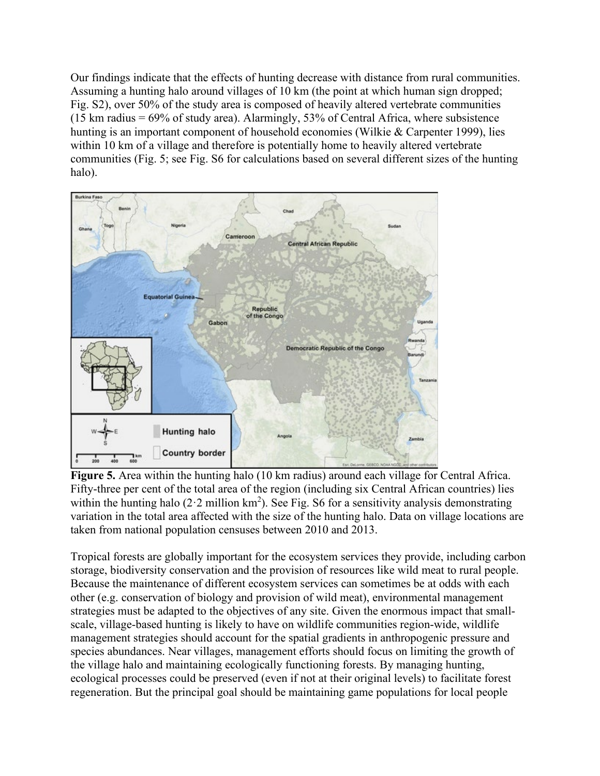Our findings indicate that the effects of hunting decrease with distance from rural communities. Assuming a hunting halo around villages of 10 km (the point at which human sign dropped; Fig. S2), over 50% of the study area is composed of heavily altered vertebrate communities  $(15 \text{ km} \text{ radius} = 69\% \text{ of study area})$ . Alarmingly, 53% of Central Africa, where subsistence hunting is an important component of household economies (Wilkie & Carpenter 1999), lies within 10 km of a village and therefore is potentially home to heavily altered vertebrate communities (Fig. 5; see Fig. S6 for calculations based on several different sizes of the hunting halo).



**Figure 5.** Area within the hunting halo (10 km radius) around each village for Central Africa. Fifty-three per cent of the total area of the region (including six Central African countries) lies within the hunting halo (2 $\cdot$ 2 million km<sup>2</sup>). See Fig. S6 for a sensitivity analysis demonstrating variation in the total area affected with the size of the hunting halo. Data on village locations are taken from national population censuses between 2010 and 2013.

Tropical forests are globally important for the ecosystem services they provide, including carbon storage, biodiversity conservation and the provision of resources like wild meat to rural people. Because the maintenance of different ecosystem services can sometimes be at odds with each other (e.g. conservation of biology and provision of wild meat), environmental management strategies must be adapted to the objectives of any site. Given the enormous impact that small‐ scale, village‐based hunting is likely to have on wildlife communities region‐wide, wildlife management strategies should account for the spatial gradients in anthropogenic pressure and species abundances. Near villages, management efforts should focus on limiting the growth of the village halo and maintaining ecologically functioning forests. By managing hunting, ecological processes could be preserved (even if not at their original levels) to facilitate forest regeneration. But the principal goal should be maintaining game populations for local people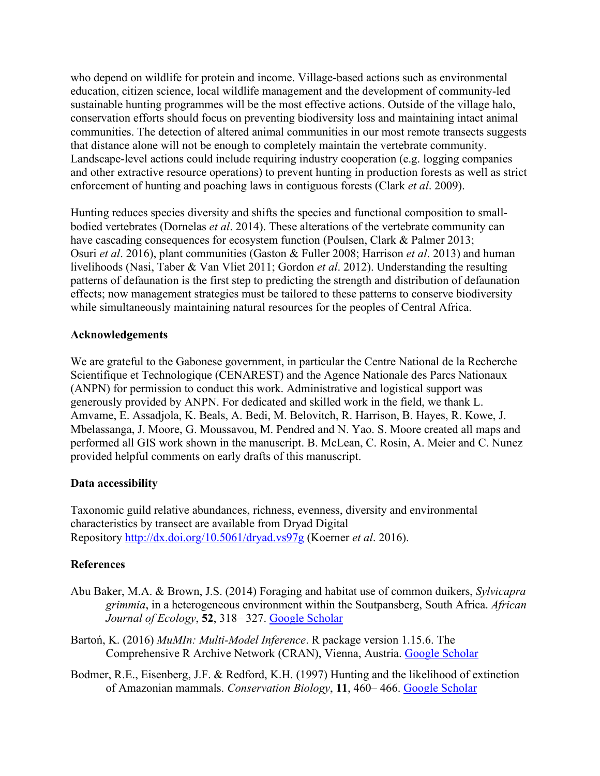who depend on wildlife for protein and income. Village-based actions such as environmental education, citizen science, local wildlife management and the development of community‐led sustainable hunting programmes will be the most effective actions. Outside of the village halo, conservation efforts should focus on preventing biodiversity loss and maintaining intact animal communities. The detection of altered animal communities in our most remote transects suggests that distance alone will not be enough to completely maintain the vertebrate community. Landscape-level actions could include requiring industry cooperation (e.g. logging companies and other extractive resource operations) to prevent hunting in production forests as well as strict enforcement of hunting and poaching laws in contiguous forests (Clark *et al*. 2009).

Hunting reduces species diversity and shifts the species and functional composition to small‐ bodied vertebrates (Dornelas *et al*. 2014). These alterations of the vertebrate community can have cascading consequences for ecosystem function (Poulsen, Clark & Palmer 2013; Osuri *et al*. 2016), plant communities (Gaston & Fuller 2008; Harrison *et al*. 2013) and human livelihoods (Nasi, Taber & Van Vliet 2011; Gordon *et al*. 2012). Understanding the resulting patterns of defaunation is the first step to predicting the strength and distribution of defaunation effects; now management strategies must be tailored to these patterns to conserve biodiversity while simultaneously maintaining natural resources for the peoples of Central Africa.

## **Acknowledgements**

We are grateful to the Gabonese government, in particular the Centre National de la Recherche Scientifique et Technologique (CENAREST) and the Agence Nationale des Parcs Nationaux (ANPN) for permission to conduct this work. Administrative and logistical support was generously provided by ANPN. For dedicated and skilled work in the field, we thank L. Amvame, E. Assadjola, K. Beals, A. Bedi, M. Belovitch, R. Harrison, B. Hayes, R. Kowe, J. Mbelassanga, J. Moore, G. Moussavou, M. Pendred and N. Yao. S. Moore created all maps and performed all GIS work shown in the manuscript. B. McLean, C. Rosin, A. Meier and C. Nunez provided helpful comments on early drafts of this manuscript.

## **Data accessibility**

Taxonomic guild relative abundances, richness, evenness, diversity and environmental characteristics by transect are available from Dryad Digital Repository [http://dx.doi.org/10.5061/drya](http://dx.doi.org/10.5061/dryad.vs97g)d.vs97g (Koerner *et al*. 2016).

## **References**

- Abu Baker, M.A. & Brown, J.S. (2014) Foraging and habitat use of common duikers, *Sylvicapra grimmia*, in a heterogeneous environment within the Soutpansberg, South Africa. *African Journal of Ecology*, **52**, 318– 327. [Google Scholar](http://scholar.google.com/scholar_lookup?hl=en&volume=52&publication_year=2014&pages=318-327&journal=African+Journal+of+Ecology&author=M.A.+Abu+Baker&author=J.S.+Brown&title=Foraging+and+habitat+use+of+common+duikers%2C+Sylvicapra+grimmia%2C+in+a+heterogeneous+environment+within+the+Soutpansberg%2C+South+Africa)
- Bartoń, K. (2016) *MuMIn: Multi‐Model Inference*. R package version 1.15.6. The Comprehensive R Archive Network (CRAN), Vienna, Austria. [Google Scholar](http://scholar.google.com/scholar_lookup?hl=en&publication_year=2016&author=K.+Barto%C5%84&title=MuMIn%3A+Multi%E2%80%90Model+Inference)
- Bodmer, R.E., Eisenberg, J.F. & Redford, K.H. (1997) Hunting and the likelihood of extinction of Amazonian mammals. *Conservation Biology*, **11**, 460– 466. [Google Scholar](http://scholar.google.com/scholar_lookup?hl=en&volume=11&publication_year=1997&pages=460-466&journal=Conservation+Biology&author=R.E.+Bodmer&author=J.F.+Eisenberg&author=K.H.+Redford&title=Hunting+and+the+likelihood+of+extinction+of+Amazonian+mammals)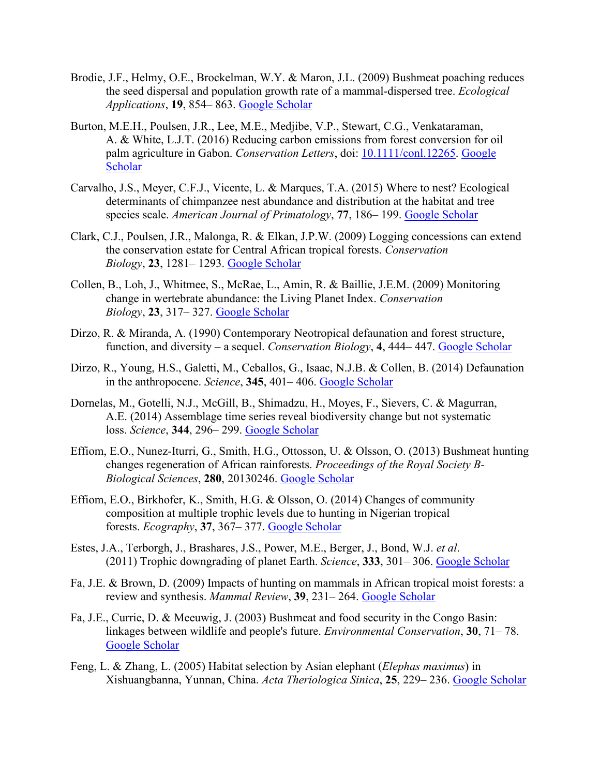- Brodie, J.F., Helmy, O.E., Brockelman, W.Y. & Maron, J.L. (2009) Bushmeat poaching reduces the seed dispersal and population growth rate of a mammal‐dispersed tree. *Ecological Applications*, **19**, 854– 863. [Google Scholar](http://scholar.google.com/scholar_lookup?hl=en&volume=19&publication_year=2009&pages=854-863&journal=Ecological+Applications&author=J.F.+Brodie&author=O.E.+Helmy&author=W.Y.+Brockelman&author=J.L.+Maron&title=Bushmeat+poaching+reduces+the+seed+dispersal+and+population+growth+rate+of+a+mammal%E2%80%90dispersed+tree)
- Burton, M.E.H., Poulsen, J.R., Lee, M.E., Medjibe, V.P., Stewart, C.G., Venkataraman, A. & White, L.J.T. (2016) Reducing carbon emissions from forest conversion for oil palm agriculture in Gabon. *Conservation Letters*, doi: [10.1111/conl.12265.](https://doi.org/10.1111/conl.12265) [Google](http://scholar.google.com/scholar_lookup?hl=en&publication_year=2016&journal=Conservation+Letters&author=M.E.H.+Burton&author=J.R.+Poulsen&author=M.E.+Lee&author=V.P.+Medjibe&author=C.G.+Stewart&author=A.+Venkataraman&author=L.J.T.+White&title=Reducing+carbon+emissions+from+forest+conversion+for+oil+palm+agriculture+in+Gabon)  [Scholar](http://scholar.google.com/scholar_lookup?hl=en&publication_year=2016&journal=Conservation+Letters&author=M.E.H.+Burton&author=J.R.+Poulsen&author=M.E.+Lee&author=V.P.+Medjibe&author=C.G.+Stewart&author=A.+Venkataraman&author=L.J.T.+White&title=Reducing+carbon+emissions+from+forest+conversion+for+oil+palm+agriculture+in+Gabon)
- Carvalho, J.S., Meyer, C.F.J., Vicente, L. & Marques, T.A. (2015) Where to nest? Ecological determinants of chimpanzee nest abundance and distribution at the habitat and tree species scale. *American Journal of Primatology*, **77**, 186– 199. [Google Scholar](http://scholar.google.com/scholar_lookup?hl=en&volume=77&publication_year=2015&pages=186-199&journal=American+Journal+of+Primatology&author=J.S.+Carvalho&author=C.F.J.+Meyer&author=L.+Vicente&author=T.A.+Marques&title=Where+to+nest%3F+Ecological+determinants+of+chimpanzee+nest+abundance+and+distribution+at+the+habitat+and+tree+species+scale)
- Clark, C.J., Poulsen, J.R., Malonga, R. & Elkan, J.P.W. (2009) Logging concessions can extend the conservation estate for Central African tropical forests. *Conservation Biology*, **23**, 1281– 1293. [Google Scholar](http://scholar.google.com/scholar_lookup?hl=en&volume=23&publication_year=2009&pages=1281-1293&journal=Conservation+Biology&author=C.J.+Clark&author=J.R.+Poulsen&author=R.+Malonga&author=J.P.W.+Elkan&title=Logging+concessions+can+extend+the+conservation+estate+for+Central+African+tropical+forests)
- Collen, B., Loh, J., Whitmee, S., McRae, L., Amin, R. & Baillie, J.E.M. (2009) Monitoring change in wertebrate abundance: the Living Planet Index. *Conservation Biology*, **23**, 317– 327. [Google Scholar](http://scholar.google.com/scholar_lookup?hl=en&volume=23&publication_year=2009&pages=317-327&journal=Conservation+Biology&author=B.+Collen&author=J.+Loh&author=S.+Whitmee&author=L.+McRae&author=R.+Amin&author=J.E.M.+Baillie&title=Monitoring+change+in+wertebrate+abundance%3A+the+Living+Planet+Index)
- Dirzo, R. & Miranda, A. (1990) Contemporary Neotropical defaunation and forest structure, function, and diversity – a sequel. *Conservation Biology*, **4**, 444– 447. [Google Scholar](http://scholar.google.com/scholar_lookup?hl=en&volume=4&publication_year=1990&pages=444-447&journal=Conservation+Biology&author=R.+Dirzo&author=A.+Miranda&title=Contemporary+Neotropical+defaunation+and+forest+structure%2C+function%2C+and+diversity+%E2%80%93+a+sequel)
- Dirzo, R., Young, H.S., Galetti, M., Ceballos, G., Isaac, N.J.B. & Collen, B. (2014) Defaunation in the anthropocene. *Science*, **345**, 401– 406. [Google Scholar](http://scholar.google.com/scholar_lookup?hl=en&volume=345&publication_year=2014&pages=401-406&journal=Science&author=R.+Dirzo&author=H.S.+Young&author=M.+Galetti&author=G.+Ceballos&author=N.J.B.+Isaac&author=B.+Collen&title=Defaunation+in+the+anthropocene)
- Dornelas, M., Gotelli, N.J., McGill, B., Shimadzu, H., Moyes, F., Sievers, C. & Magurran, A.E. (2014) Assemblage time series reveal biodiversity change but not systematic loss. *Science*, **344**, 296– 299. [Google Scholar](http://scholar.google.com/scholar_lookup?hl=en&volume=344&publication_year=2014&pages=296-299&journal=Science&author=M.+Dornelas&author=N.J.+Gotelli&author=B.+McGill&author=H.+Shimadzu&author=F.+Moyes&author=C.+Sievers&author=A.E.+Magurran&title=Assemblage+time+series+reveal+biodiversity+change+but+not+systematic+loss)
- Effiom, E.O., Nunez‐Iturri, G., Smith, H.G., Ottosson, U. & Olsson, O. (2013) Bushmeat hunting changes regeneration of African rainforests. *Proceedings of the Royal Society B‐ Biological Sciences*, **280**, 20130246. [Google Scholar](http://scholar.google.com/scholar_lookup?hl=en&volume=280&publication_year=2013&pages=20130246&journal=Proceedings+of+the+Royal+Society+B%E2%80%90Biological+Sciences&author=E.O.+Effiom&author=G.+Nunez%E2%80%90Iturri&author=H.G.+Smith&author=U.+Ottosson&author=O.+Olsson&title=Bushmeat+hunting+changes+regeneration+of+African+rainforests)
- Effiom, E.O., Birkhofer, K., Smith, H.G. & Olsson, O. (2014) Changes of community composition at multiple trophic levels due to hunting in Nigerian tropical forests. *Ecography*, **37**, 367– 377. [Google Scholar](http://scholar.google.com/scholar_lookup?hl=en&volume=37&publication_year=2014&pages=367-377&journal=Ecography&author=E.O.+Effiom&author=K.+Birkhofer&author=H.G.+Smith&author=O.+Olsson&title=Changes+of+community+composition+at+multiple+trophic+levels+due+to+hunting+in+Nigerian+tropical+forests)
- Estes, J.A., Terborgh, J., Brashares, J.S., Power, M.E., Berger, J., Bond, W.J. *et al*. (2011) Trophic downgrading of planet Earth. *Science*, **333**, 301– 306. [Google Scholar](http://scholar.google.com/scholar_lookup?hl=en&volume=333&publication_year=2011&pages=301-306&journal=Science&author=J.A.+Estes&author=J.+Terborgh&author=J.S.+Brashares&author=M.E.+Power&author=J.+Berger&author=W.J.+Bond&title=Trophic+downgrading+of+planet+Earth)
- Fa, J.E. & Brown, D. (2009) Impacts of hunting on mammals in African tropical moist forests: a review and synthesis. *Mammal Review*, **39**, 231– 264. [Google Scholar](http://scholar.google.com/scholar_lookup?hl=en&volume=39&publication_year=2009&pages=231-264&journal=Mammal+Review&author=J.E.+Fa&author=D.+Brown&title=Impacts+of+hunting+on+mammals+in+African+tropical+moist+forests%3A+a+review+and+synthesis)
- Fa, J.E., Currie, D. & Meeuwig, J. (2003) Bushmeat and food security in the Congo Basin: linkages between wildlife and people's future. *Environmental Conservation*, **30**, 71– 78. [Google Scholar](http://scholar.google.com/scholar_lookup?hl=en&volume=30&publication_year=2003&pages=71-78&journal=Environmental+Conservation&author=J.E.+Fa&author=D.+Currie&author=J.+Meeuwig&title=Bushmeat+and+food+security+in+the+Congo+Basin%3A+linkages+between+wildlife+and+people%27s+future)
- Feng, L. & Zhang, L. (2005) Habitat selection by Asian elephant (*Elephas maximus*) in Xishuangbanna, Yunnan, China. *Acta Theriologica Sinica*, **25**, 229– 236. [Google Scholar](http://scholar.google.com/scholar_lookup?hl=en&volume=25&publication_year=2005&pages=229-236&journal=Acta+Theriologica+Sinica&author=L.+Feng&author=L.+Zhang&title=Habitat+selection+by+Asian+elephant+%28Elephas+maximus%29+in+Xishuangbanna%2C+Yunnan%2C+China)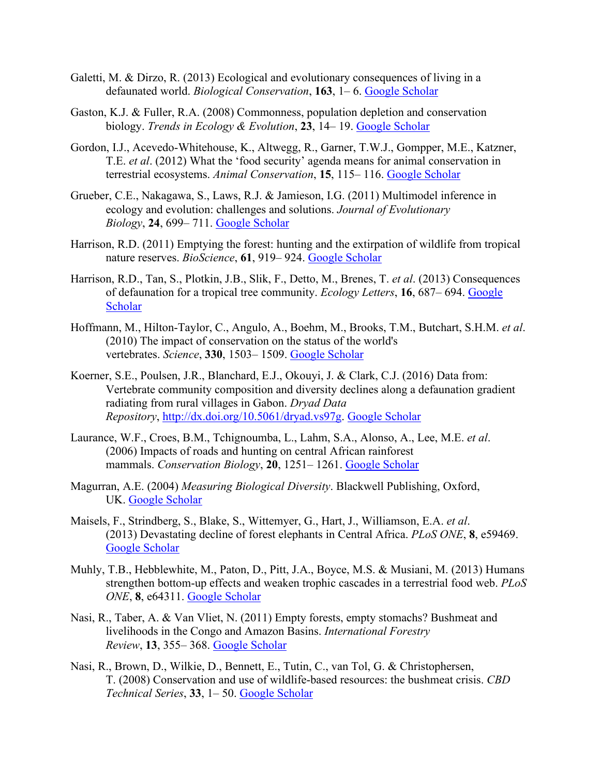- Galetti, M. & Dirzo, R. (2013) Ecological and evolutionary consequences of living in a defaunated world. *Biological Conservation*, **163**, 1– 6. [Google Scholar](http://scholar.google.com/scholar_lookup?hl=en&volume=163&publication_year=2013&pages=1-6&journal=Biological+Conservation&author=M.+Galetti&author=R.+Dirzo&title=Ecological+and+evolutionary+consequences+of+living+in+a+defaunated+world)
- Gaston, K.J. & Fuller, R.A. (2008) Commonness, population depletion and conservation biology. *Trends in Ecology & Evolution*, **23**, 14– 19. [Google Scholar](http://scholar.google.com/scholar_lookup?hl=en&volume=23&publication_year=2008&pages=14-19&journal=Trends+in+Ecology+%26+Evolution&author=K.J.+Gaston&author=R.A.+Fuller&title=Commonness%2C+population+depletion+and+conservation+biology)
- Gordon, I.J., Acevedo‐Whitehouse, K., Altwegg, R., Garner, T.W.J., Gompper, M.E., Katzner, T.E. *et al*. (2012) What the 'food security' agenda means for animal conservation in terrestrial ecosystems. *Animal Conservation*, **15**, 115– 116. [Google Scholar](http://scholar.google.com/scholar_lookup?hl=en&volume=15&publication_year=2012&pages=115-116&journal=Animal+Conservation&author=I.J.+Gordon&author=K.+Acevedo%E2%80%90Whitehouse&author=R.+Altwegg&author=T.W.J.+Garner&author=M.E.+Gompper&author=T.E.+Katzner&title=What+the+%E2%80%98food+security%E2%80%99+agenda+means+for+animal+conservation+in+terrestrial+ecosystems)
- Grueber, C.E., Nakagawa, S., Laws, R.J. & Jamieson, I.G. (2011) Multimodel inference in ecology and evolution: challenges and solutions. *Journal of Evolutionary Biology*, **24**, 699– 711. [Google Scholar](http://scholar.google.com/scholar_lookup?hl=en&volume=24&publication_year=2011&pages=699-711&journal=Journal+of+Evolutionary+Biology&author=C.E.+Grueber&author=S.+Nakagawa&author=R.J.+Laws&author=I.G.+Jamieson&title=Multimodel+inference+in+ecology+and+evolution%3A+challenges+and+solutions)
- Harrison, R.D. (2011) Emptying the forest: hunting and the extirpation of wildlife from tropical nature reserves. *BioScience*, **61**, 919– 924. [Google Scholar](http://scholar.google.com/scholar_lookup?hl=en&volume=61&publication_year=2011&pages=919-924&journal=BioScience&author=R.D.+Harrison&title=Emptying+the+forest%3A+hunting+and+the+extirpation+of+wildlife+from+tropical+nature+reserves)
- Harrison, R.D., Tan, S., Plotkin, J.B., Slik, F., Detto, M., Brenes, T. *et al*. (2013) Consequences of defaunation for a tropical tree community. *Ecology Letters*, **16**, 687– 694. [Google](http://scholar.google.com/scholar_lookup?hl=en&volume=16&publication_year=2013&pages=687-694&journal=Ecology+Letters&author=R.D.+Harrison&author=S.+Tan&author=J.B.+Plotkin&author=F.+Slik&author=M.+Detto&author=T.+Brenes&title=Consequences+of+defaunation+for+a+tropical+tree+community)  [Scholar](http://scholar.google.com/scholar_lookup?hl=en&volume=16&publication_year=2013&pages=687-694&journal=Ecology+Letters&author=R.D.+Harrison&author=S.+Tan&author=J.B.+Plotkin&author=F.+Slik&author=M.+Detto&author=T.+Brenes&title=Consequences+of+defaunation+for+a+tropical+tree+community)
- Hoffmann, M., Hilton‐Taylor, C., Angulo, A., Boehm, M., Brooks, T.M., Butchart, S.H.M. *et al*. (2010) The impact of conservation on the status of the world's vertebrates. *Science*, **330**, 1503– 1509. [Google Scholar](http://scholar.google.com/scholar_lookup?hl=en&volume=330&publication_year=2010&pages=1503-1509&journal=Science&author=M.+Hoffmann&author=C.+Hilton%E2%80%90Taylor&author=A.+Angulo&author=M.+Boehm&author=T.M.+Brooks&author=S.H.M.+Butchart&title=The+impact+of+conservation+on+the+status+of+the+world%27s+vertebrates)
- Koerner, S.E., Poulsen, J.R., Blanchard, E.J., Okouyi, J. & Clark, C.J. (2016) Data from: Vertebrate community composition and diversity declines along a defaunation gradient radiating from rural villages in Gabon. *Dryad Data Repository*, <http://dx.doi.org/10.5061/dryad.vs97g>. [Google Scholar](http://scholar.google.com/scholar_lookup?hl=en&publication_year=2016&journal=Dryad+Data+Repository&author=S.E.+Koerner&author=J.R.+Poulsen&author=E.J.+Blanchard&author=J.+Okouyi&author=C.J.+Clark&title=Data+from%3A+Vertebrate+community+composition+and+diversity+declines+along+a+defaunation+gradient+radiating+from+rural+villages+in+Gabon)
- Laurance, W.F., Croes, B.M., Tchignoumba, L., Lahm, S.A., Alonso, A., Lee, M.E. *et al*. (2006) Impacts of roads and hunting on central African rainforest mammals. *Conservation Biology*, **20**, 1251– 1261. [Google Scholar](http://scholar.google.com/scholar_lookup?hl=en&volume=20&publication_year=2006&pages=1251-1261&journal=Conservation+Biology&author=W.F.+Laurance&author=B.M.+Croes&author=L.+Tchignoumba&author=S.A.+Lahm&author=A.+Alonso&author=M.E.+Lee&title=Impacts+of+roads+and+hunting+on+central+African+rainforest+mammals)
- Magurran, A.E. (2004) *Measuring Biological Diversity*. Blackwell Publishing, Oxford, UK. [Google Scholar](http://scholar.google.com/scholar_lookup?hl=en&publication_year=2004&author=A.E.+Magurran&title=Measuring+Biological+Diversity)
- Maisels, F., Strindberg, S., Blake, S., Wittemyer, G., Hart, J., Williamson, E.A. *et al*. (2013) Devastating decline of forest elephants in Central Africa. *PLoS ONE*, **8**, e59469. [Google Scholar](http://scholar.google.com/scholar_lookup?hl=en&volume=8&publication_year=2013&pages=e59469&journal=PLoS+ONE&author=F.+Maisels&author=S.+Strindberg&author=S.+Blake&author=G.+Wittemyer&author=J.+Hart&author=E.A.+Williamson&title=Devastating+decline+of+forest+elephants+in+Central+Africa)
- Muhly, T.B., Hebblewhite, M., Paton, D., Pitt, J.A., Boyce, M.S. & Musiani, M. (2013) Humans strengthen bottom‐up effects and weaken trophic cascades in a terrestrial food web. *PLoS ONE*, **8**, e64311. [Google Scholar](http://scholar.google.com/scholar_lookup?hl=en&volume=8&publication_year=2013&pages=e64311&journal=PLoS+ONE&author=T.B.+Muhly&author=M.+Hebblewhite&author=D.+Paton&author=J.A.+Pitt&author=M.S.+Boyce&author=M.+Musiani&title=Humans+strengthen+bottom%E2%80%90up+effects+and+weaken+trophic+cascades+in+a+terrestrial+food+web)
- Nasi, R., Taber, A. & Van Vliet, N. (2011) Empty forests, empty stomachs? Bushmeat and livelihoods in the Congo and Amazon Basins. *International Forestry Review*, **13**, 355– 368. [Google Scholar](http://scholar.google.com/scholar_lookup?hl=en&volume=13&publication_year=2011&pages=355-368&journal=International+Forestry+Review&author=R.+Nasi&author=A.+Taber&author=N.+Van+Vliet&title=Empty+forests%2C+empty+stomachs%3F+Bushmeat+and+livelihoods+in+the+Congo+and+Amazon+Basins)
- Nasi, R., Brown, D., Wilkie, D., Bennett, E., Tutin, C., van Tol, G. & Christophersen, T. (2008) Conservation and use of wildlife‐based resources: the bushmeat crisis. *CBD Technical Series*, **33**, 1– 50. [Google Scholar](http://scholar.google.com/scholar_lookup?hl=en&volume=33&publication_year=2008&pages=1-50&journal=CBD+Technical+Series&author=R.+Nasi&author=D.+Brown&author=D.+Wilkie&author=E.+Bennett&author=C.+Tutin&author=G.+Tol&author=T.+Christophersen&title=Conservation+and+use+of+wildlife%E2%80%90based+resources%3A+the+bushmeat+crisis)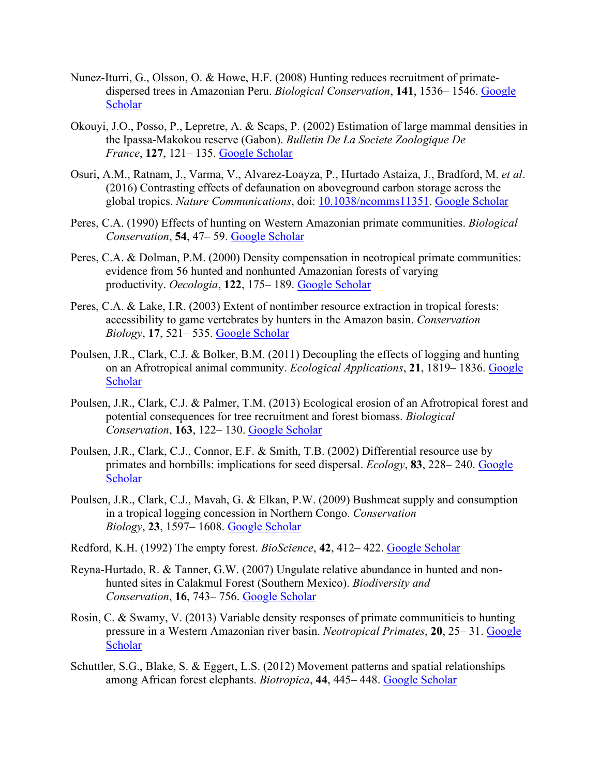- Nunez-Iturri, G., Olsson, O. & Howe, H.F. (2008) Hunting reduces recruitment of primatedispersed trees in Amazonian Peru. *Biological Conservation*, **141**, 1536– 1546. [Google](http://scholar.google.com/scholar_lookup?hl=en&volume=141&publication_year=2008&pages=1536-1546&journal=Biological+Conservation&author=G.+Nunez%E2%80%90Iturri&author=O.+Olsson&author=H.F.+Howe&title=Hunting+reduces+recruitment+of+primate%E2%80%90dispersed+trees+in+Amazonian+Peru)  [Scholar](http://scholar.google.com/scholar_lookup?hl=en&volume=141&publication_year=2008&pages=1536-1546&journal=Biological+Conservation&author=G.+Nunez%E2%80%90Iturri&author=O.+Olsson&author=H.F.+Howe&title=Hunting+reduces+recruitment+of+primate%E2%80%90dispersed+trees+in+Amazonian+Peru)
- Okouyi, J.O., Posso, P., Lepretre, A. & Scaps, P. (2002) Estimation of large mammal densities in the Ipassa‐Makokou reserve (Gabon). *Bulletin De La Societe Zoologique De France*, **127**, 121– 135. [Google Scholar](http://scholar.google.com/scholar_lookup?hl=en&volume=127&publication_year=2002&pages=121-135&journal=Bulletin+De+La+Societe+Zoologique+De+France&author=J.O.+Okouyi&author=P.+Posso&author=A.+Lepretre&author=P.+Scaps&title=Estimation+of+large+mammal+densities+in+the+Ipassa%E2%80%90Makokou+reserve+%28Gabon%29)
- Osuri, A.M., Ratnam, J., Varma, V., Alvarez‐Loayza, P., Hurtado Astaiza, J., Bradford, M. *et al*. (2016) Contrasting effects of defaunation on aboveground carbon storage across the global tropics. *Nature Communications*, doi: [10.1038/ncomms11351.](https://doi.org/10.1038/ncomms11351) [Google Scholar](http://scholar.google.com/scholar_lookup?hl=en&publication_year=2016&journal=Nature+Communications&author=A.M.+Osuri&author=J.+Ratnam&author=V.+Varma&author=P.+Alvarez%E2%80%90Loayza&author=J.+Hurtado+Astaiza&author=M.+Bradford&title=Contrasting+effects+of+defaunation+on+aboveground+carbon+storage+across+the+global+tropics)
- Peres, C.A. (1990) Effects of hunting on Western Amazonian primate communities. *Biological Conservation*, **54**, 47– 59. [Google Scholar](http://scholar.google.com/scholar_lookup?hl=en&volume=54&publication_year=1990&pages=47-59&journal=Biological+Conservation&author=C.A.+Peres&title=Effects+of+hunting+on+Western+Amazonian+primate+communities)
- Peres, C.A. & Dolman, P.M. (2000) Density compensation in neotropical primate communities: evidence from 56 hunted and nonhunted Amazonian forests of varying productivity. *Oecologia*, **122**, 175– 189. [Google Scholar](http://scholar.google.com/scholar_lookup?hl=en&volume=122&publication_year=2000&pages=175-189&journal=Oecologia&author=C.A.+Peres&author=P.M.+Dolman&title=Density+compensation+in+neotropical+primate+communities%3A+evidence+from+56+hunted+and+nonhunted+Amazonian+forests+of+varying+productivity)
- Peres, C.A. & Lake, I.R. (2003) Extent of nontimber resource extraction in tropical forests: accessibility to game vertebrates by hunters in the Amazon basin. *Conservation Biology*, **17**, 521– 535. [Google Scholar](http://scholar.google.com/scholar_lookup?hl=en&volume=17&publication_year=2003&pages=521-535&journal=Conservation+Biology&author=C.A.+Peres&author=I.R.+Lake&title=Extent+of+nontimber+resource+extraction+in+tropical+forests%3A+accessibility+to+game+vertebrates+by+hunters+in+the+Amazon+basin)
- Poulsen, J.R., Clark, C.J. & Bolker, B.M. (2011) Decoupling the effects of logging and hunting on an Afrotropical animal community. *Ecological Applications*, **21**, 1819– 1836. [Google](http://scholar.google.com/scholar_lookup?hl=en&volume=21&publication_year=2011&pages=1819-1836&journal=Ecological+Applications&author=J.R.+Poulsen&author=C.J.+Clark&author=B.M.+Bolker&title=Decoupling+the+effects+of+logging+and+hunting+on+an+Afrotropical+animal+community)  **[Scholar](http://scholar.google.com/scholar_lookup?hl=en&volume=21&publication_year=2011&pages=1819-1836&journal=Ecological+Applications&author=J.R.+Poulsen&author=C.J.+Clark&author=B.M.+Bolker&title=Decoupling+the+effects+of+logging+and+hunting+on+an+Afrotropical+animal+community)**
- Poulsen, J.R., Clark, C.J. & Palmer, T.M. (2013) Ecological erosion of an Afrotropical forest and potential consequences for tree recruitment and forest biomass. *Biological Conservation*, **163**, 122– 130. [Google Scholar](http://scholar.google.com/scholar_lookup?hl=en&volume=163&publication_year=2013&pages=122-130&journal=Biological+Conservation&author=J.R.+Poulsen&author=C.J.+Clark&author=T.M.+Palmer&title=Ecological+erosion+of+an+Afrotropical+forest+and+potential+consequences+for+tree+recruitment+and+forest+biomass)
- Poulsen, J.R., Clark, C.J., Connor, E.F. & Smith, T.B. (2002) Differential resource use by primates and hornbills: implications for seed dispersal. *Ecology*, **83**, 228– 240. [Google](http://scholar.google.com/scholar_lookup?hl=en&volume=83&publication_year=2002&pages=228-240&journal=Ecology&author=J.R.+Poulsen&author=C.J.+Clark&author=E.F.+Connor&author=T.B.+Smith&title=Differential+resource+use+by+primates+and+hornbills%3A+implications+for+seed+dispersal)  **[Scholar](http://scholar.google.com/scholar_lookup?hl=en&volume=83&publication_year=2002&pages=228-240&journal=Ecology&author=J.R.+Poulsen&author=C.J.+Clark&author=E.F.+Connor&author=T.B.+Smith&title=Differential+resource+use+by+primates+and+hornbills%3A+implications+for+seed+dispersal)**
- Poulsen, J.R., Clark, C.J., Mavah, G. & Elkan, P.W. (2009) Bushmeat supply and consumption in a tropical logging concession in Northern Congo. *Conservation Biology*, **23**, 1597– 1608. [Google Scholar](http://scholar.google.com/scholar_lookup?hl=en&volume=23&publication_year=2009&pages=1597-1608&journal=Conservation+Biology&author=J.R.+Poulsen&author=C.J.+Clark&author=G.+Mavah&author=P.W.+Elkan&title=Bushmeat+supply+and+consumption+in+a+tropical+logging+concession+in+Northern+Congo)
- Redford, K.H. (1992) The empty forest. *BioScience*, **42**, 412– 422. [Google Scholar](http://scholar.google.com/scholar_lookup?hl=en&volume=42&publication_year=1992&pages=412-422&journal=BioScience&author=K.H.+Redford&title=The+empty+forest)
- Reyna‐Hurtado, R. & Tanner, G.W. (2007) Ungulate relative abundance in hunted and non‐ hunted sites in Calakmul Forest (Southern Mexico). *Biodiversity and Conservation*, **16**, 743– 756. [Google Scholar](http://scholar.google.com/scholar_lookup?hl=en&volume=16&publication_year=2007&pages=743-756&journal=Biodiversity+and+Conservation&author=R.+Reyna%E2%80%90Hurtado&author=G.W.+Tanner&title=Ungulate+relative+abundance+in+hunted+and+non%E2%80%90hunted+sites+in+Calakmul+Forest+%28Southern+Mexico%29)
- Rosin, C. & Swamy, V. (2013) Variable density responses of primate communitieis to hunting pressure in a Western Amazonian river basin. *Neotropical Primates*, **20**, 25– 31. [Google](http://scholar.google.com/scholar_lookup?hl=en&volume=20&publication_year=2013&pages=25-31&journal=Neotropical+Primates&author=C.+Rosin&author=V.+Swamy&title=Variable+density+responses+of+primate+communitieis+to+hunting+pressure+in+a+Western+Amazonian+river+basin)  **[Scholar](http://scholar.google.com/scholar_lookup?hl=en&volume=20&publication_year=2013&pages=25-31&journal=Neotropical+Primates&author=C.+Rosin&author=V.+Swamy&title=Variable+density+responses+of+primate+communitieis+to+hunting+pressure+in+a+Western+Amazonian+river+basin)**
- Schuttler, S.G., Blake, S. & Eggert, L.S. (2012) Movement patterns and spatial relationships among African forest elephants. *Biotropica*, **44**, 445– 448. [Google Scholar](http://scholar.google.com/scholar_lookup?hl=en&volume=44&publication_year=2012&pages=445-448&journal=Biotropica&author=S.G.+Schuttler&author=S.+Blake&author=L.S.+Eggert&title=Movement+patterns+and+spatial+relationships+among+African+forest+elephants)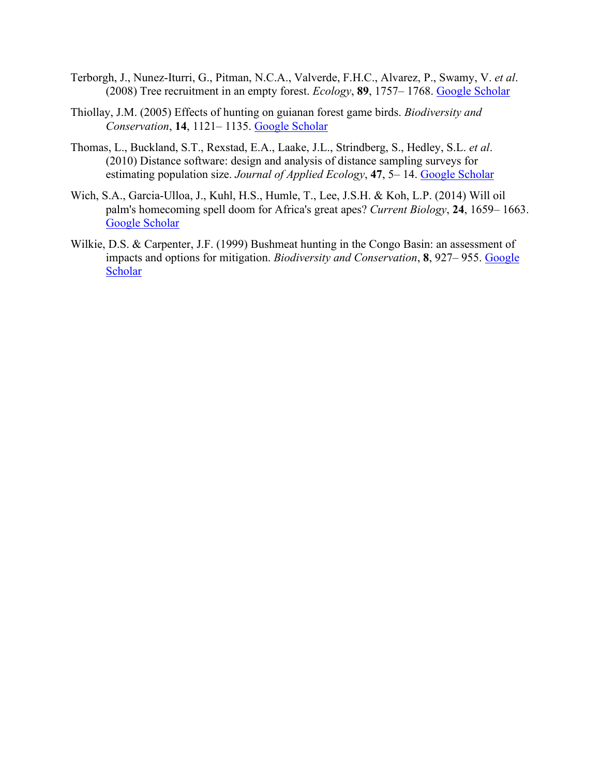- Terborgh, J., Nunez‐Iturri, G., Pitman, N.C.A., Valverde, F.H.C., Alvarez, P., Swamy, V. *et al*. (2008) Tree recruitment in an empty forest. *Ecology*, **89**, 1757– 1768. [Google Scholar](http://scholar.google.com/scholar_lookup?hl=en&volume=89&publication_year=2008&pages=1757-1768&journal=Ecology&author=J.+Terborgh&author=G.+Nunez%E2%80%90Iturri&author=N.C.A.+Pitman&author=F.H.C.+Valverde&author=P.+Alvarez&author=V.+Swamy&title=Tree+recruitment+in+an+empty+forest)
- Thiollay, J.M. (2005) Effects of hunting on guianan forest game birds. *Biodiversity and Conservation*, **14**, 1121– 1135. [Google Scholar](http://scholar.google.com/scholar_lookup?hl=en&volume=14&publication_year=2005&pages=1121-1135&journal=Biodiversity+and+Conservation&author=J.M.+Thiollay&title=Effects+of+hunting+on+guianan+forest+game+birds)
- Thomas, L., Buckland, S.T., Rexstad, E.A., Laake, J.L., Strindberg, S., Hedley, S.L. *et al*. (2010) Distance software: design and analysis of distance sampling surveys for estimating population size. *Journal of Applied Ecology*, **47**, 5– 14. [Google Scholar](http://scholar.google.com/scholar_lookup?hl=en&volume=47&publication_year=2010&pages=5-14&journal=Journal+of+Applied+Ecology&author=L.+Thomas&author=S.T.+Buckland&author=E.A.+Rexstad&author=J.L.+Laake&author=S.+Strindberg&author=S.L.+Hedley&title=Distance+software%3A+design+and+analysis+of+distance+sampling+surveys+for+estimating+population+size)
- Wich, S.A., Garcia‐Ulloa, J., Kuhl, H.S., Humle, T., Lee, J.S.H. & Koh, L.P. (2014) Will oil palm's homecoming spell doom for Africa's great apes? *Current Biology*, **24**, 1659– 1663. [Google Scholar](http://scholar.google.com/scholar_lookup?hl=en&volume=24&publication_year=2014&pages=1659-1663&journal=Current+Biology&author=S.A.+Wich&author=J.+Garcia%E2%80%90Ulloa&author=H.S.+Kuhl&author=T.+Humle&author=J.S.H.+Lee&author=L.P.+Koh&title=Will+oil+palm%27s+homecoming+spell+doom+for+Africa%27s+great+apes%3F)
- Wilkie, D.S. & Carpenter, J.F. (1999) Bushmeat hunting in the Congo Basin: an assessment of impacts and options for mitigation. *Biodiversity and Conservation*, **8**, 927– 955. [Google](http://scholar.google.com/scholar_lookup?hl=en&volume=8&publication_year=1999&pages=927-955&journal=Biodiversity+and+Conservation&author=D.S.+Wilkie&author=J.F.+Carpenter&title=Bushmeat+hunting+in+the+Congo+Basin%3A+an+assessment+of+impacts+and+options+for+mitigation)  **[Scholar](http://scholar.google.com/scholar_lookup?hl=en&volume=8&publication_year=1999&pages=927-955&journal=Biodiversity+and+Conservation&author=D.S.+Wilkie&author=J.F.+Carpenter&title=Bushmeat+hunting+in+the+Congo+Basin%3A+an+assessment+of+impacts+and+options+for+mitigation)**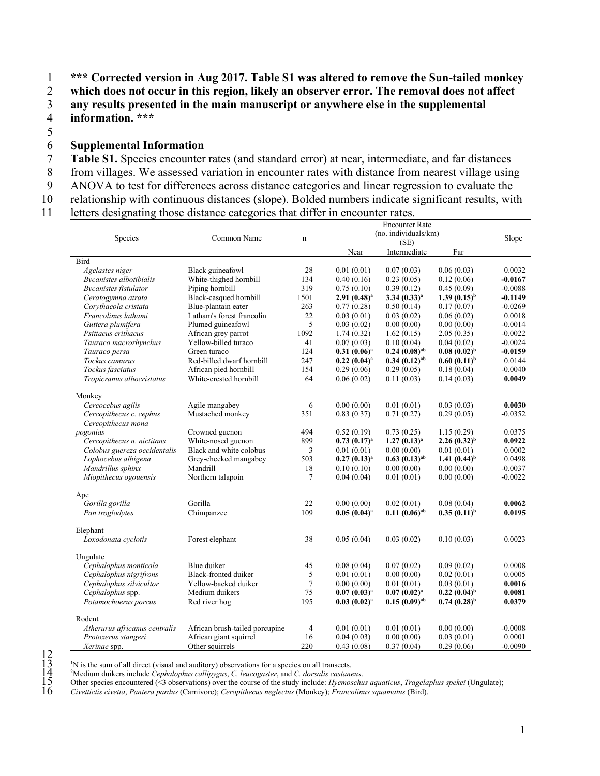1 **\*\*\* Corrected version in Aug 2017. Table S1 was altered to remove the Sun-tailed monkey** 

2 which does not occur in this region, likely an observer error. The removal does not affect<br>3 any results presented in the main manuscript or anywhere else in the supplemental

any results presented in the main manuscript or anywhere else in the supplemental 4 **information. \*\*\***

5

#### 6 **Supplemental Information**

- 7 **Table S1.** Species encounter rates (and standard error) at near, intermediate, and far distances
- 8 from villages. We assessed variation in encounter rates with distance from nearest village using
- 9 ANOVA to test for differences across distance categories and linear regression to evaluate the
- 10 relationship with continuous distances (slope). Bolded numbers indicate significant results, with
- 11 letters designating those distance categories that differ in encounter rates.

|                               |                                |             |                   | (no. individuals/km) |                            |           |
|-------------------------------|--------------------------------|-------------|-------------------|----------------------|----------------------------|-----------|
| Species                       | Common Name                    | $\mathbf n$ |                   | (SE)                 |                            | Slope     |
|                               |                                |             | Near              | Intermediate         | Far                        |           |
| Bird                          |                                |             |                   |                      |                            |           |
| Agelastes niger               | Black guineafowl               | 28          | 0.01(0.01)        | 0.07(0.03)           | 0.06(0.03)                 | 0.0032    |
| Bycanistes albotibialis       | White-thighed hornbill         | 134         | 0.40(0.16)        | 0.23(0.05)           | 0.12(0.06)                 | $-0.0167$ |
| <b>Bycanistes fistulator</b>  | Piping hornbill                | 319         | 0.75(0.10)        | 0.39(0.12)           | 0.45(0.09)                 | $-0.0088$ |
| Ceratogymna atrata            | Black-casqued hornbill         | 1501        | $2.91(0.48)^a$    | $3.34(0.33)^{a}$     | $1.39(0.15)^{b}$           | $-0.1149$ |
| Corvthaeola cristata          | Blue-plantain eater            | 263         | 0.77(0.28)        | 0.50(0.14)           | 0.17(0.07)                 | $-0.0269$ |
| Francolinus lathami           | Latham's forest francolin      | 22          | 0.03(0.01)        | 0.03(0.02)           | 0.06(0.02)                 | 0.0018    |
| Guttera plumifera             | Plumed guineafowl              | 5           | 0.03(0.02)        | 0.00(0.00)           | 0.00(0.00)                 | $-0.0014$ |
| Psittacus erithacus           | African grey parrot            | 1092        | 1.74(0.32)        | 1.62(0.15)           | 2.05(0.35)                 | $-0.0022$ |
| Tauraco macrorhynchus         | Yellow-billed turaco           | 41          | 0.07(0.03)        | 0.10(0.04)           | 0.04(0.02)                 | $-0.0024$ |
| Tauraco persa                 | Green turaco                   | 124         | $0.31(0.06)^a$    | $0.24~(0.08)^{ab}$   | $0.08~(0.02)^{b}$          | $-0.0159$ |
| Tockus camurus                | Red-billed dwarf hornbill      | 247         | $0.22~(0.04)^a$   | $0.34(0.12)^{ab}$    | $0.60(0.11)^{b}$           | 0.0144    |
| Tockus fasciatus              | African pied hornbill          | 154         | 0.29(0.06)        | 0.29(0.05)           | 0.18(0.04)                 | $-0.0040$ |
| Tropicranus albocristatus     | White-crested hornbill         | 64          | 0.06(0.02)        | 0.11(0.03)           | 0.14(0.03)                 | 0.0049    |
|                               |                                |             |                   |                      |                            |           |
| Monkey                        |                                |             |                   |                      |                            |           |
| Cercocebus agilis             | Agile mangabey                 | 6           | 0.00(0.00)        | 0.01(0.01)           | 0.03(0.03)                 | 0.0030    |
| Cercopithecus c. cephus       | Mustached monkey               | 351         | 0.83(0.37)        | 0.71(0.27)           | 0.29(0.05)                 | $-0.0352$ |
| Cercopithecus mona            |                                |             |                   |                      |                            |           |
| pogonias                      | Crowned guenon                 | 494         | 0.52(0.19)        | 0.73(0.25)           | 1.15(0.29)                 | 0.0375    |
| Cercopithecus n. nictitans    | White-nosed guenon             | 899         | $0.73$ $(0.17)^a$ | $1.27(0.13)^{a}$     | $2.26(0.32)^{b}$           | 0.0922    |
| Colobus guereza occidentalis  | Black and white colobus        | 3           | 0.01(0.01)        | 0.00(0.00)           | 0.01(0.01)                 | 0.0002    |
| Lophocebus albigena           | Grey-cheeked mangabey          | 503         | $0.27(0.13)^{a}$  | $0.63~(0.13)^{ab}$   | 1.41 $(0.44)$ <sup>b</sup> | 0.0498    |
| Mandrillus sphinx             | Mandrill                       | 18          | 0.10(0.10)        | 0.00(0.00)           | 0.00(0.00)                 | $-0.0037$ |
| Miopithecus ogouensis         | Northern talapoin              | 7           | 0.04(0.04)        | 0.01(0.01)           | 0.00(0.00)                 | $-0.0022$ |
|                               |                                |             |                   |                      |                            |           |
| Ape                           |                                |             |                   |                      |                            |           |
| Gorilla gorilla               | Gorilla                        | 22          | 0.00(0.00)        | 0.02(0.01)           | 0.08(0.04)                 | 0.0062    |
| Pan troglodytes               | Chimpanzee                     | 109         | $0.05(0.04)^a$    | $0.11(0.06)^{ab}$    | $0.35(0.11)^{b}$           | 0.0195    |
|                               |                                |             |                   |                      |                            |           |
| Elephant                      |                                |             |                   |                      |                            |           |
| Loxodonata cyclotis           | Forest elephant                | 38          | 0.05(0.04)        | 0.03(0.02)           | 0.10(0.03)                 | 0.0023    |
|                               |                                |             |                   |                      |                            |           |
| Ungulate                      |                                |             |                   |                      |                            |           |
| Cephalophus monticola         | Blue duiker                    | 45          | 0.08(0.04)        | 0.07(0.02)           | 0.09(0.02)                 | 0.0008    |
| Cephalophus nigrifrons        | Black-fronted duiker           | 5           | 0.01(0.01)        | 0.00(0.00)           | 0.02(0.01)                 | 0.0005    |
| Cephalophus silvicultor       | Yellow-backed duiker           | $\tau$      | 0.00(0.00)        | 0.01(0.01)           | 0.03(0.01)                 | 0.0016    |
| Cephalophus spp.              | Medium duikers                 | 75          | $0.07(0.03)^{a}$  | $0.07(0.02)^a$       | $0.22~(0.04)^{b}$          | 0.0081    |
| Potamochoerus porcus          | Red river hog                  | 195         | $0.03~(0.02)^a$   | $0.15(0.09)^{ab}$    | $0.74~(0.28)^{b}$          | 0.0379    |
|                               |                                |             |                   |                      |                            |           |
| Rodent                        |                                |             |                   |                      |                            |           |
| Atherurus africanus centralis | African brush-tailed porcupine | 4           | 0.01(0.01)        | 0.01(0.01)           | 0.00(0.00)                 | $-0.0008$ |
| Protoxerus stangeri           | African giant squirrel         | 16          | 0.04(0.03)        | 0.00(0.00)           | 0.03(0.01)                 | 0.0001    |
| Xerinae spp.                  | Other squirrels                | 220         | 0.43(0.08)        | 0.37(0.04)           | 0.29(0.06)                 | $-0.0090$ |

<sup>1</sup>N is the sum of all direct (visual and auditory) observations for a species on all transects.

Medium duikers include *Cephalophus callipygus*, *C. leucogaster*, and *C. dorsalis castaneus*.

15 Other species encountered (<3 observations) over the course of the study include: *Hyemoschus aquaticus*, *Tragelaphus spekei* (Ungulate);

16 *Civettictis civetta*, *Pantera pardus* (Carnivore); *Ceropithecus neglectus* (Monkey); *Francolinus squamatus* (Bird).

 $\begin{array}{c} 12 \\ 13 \\ 14 \\ 15 \\ 16 \end{array}$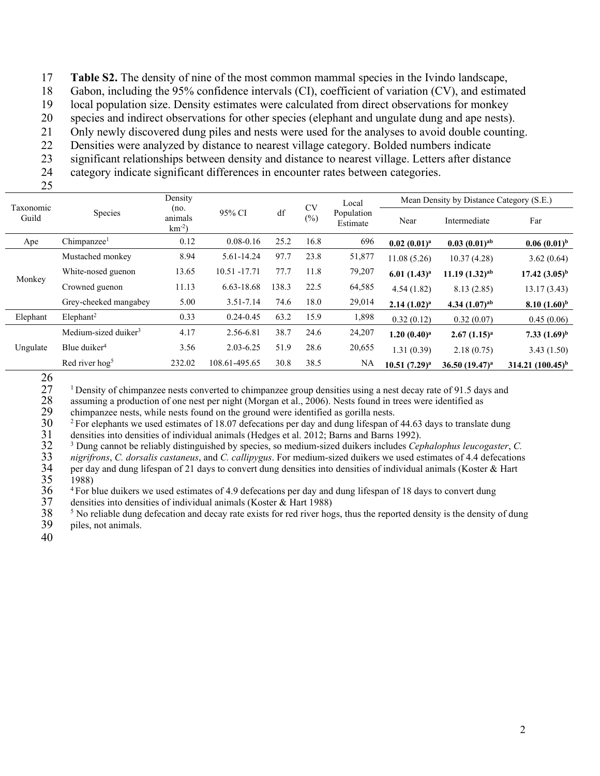17 **Table S2.** The density of nine of the most common mammal species in the Ivindo landscape,

18 Gabon, including the 95% confidence intervals (CI), coefficient of variation (CV), and estimated

19 local population size. Density estimates were calculated from direct observations for monkey

20 species and indirect observations for other species (elephant and ungulate dung and ape nests).

21 Only newly discovered dung piles and nests were used for the analyses to avoid double counting.

22 Densities were analyzed by distance to nearest village category. Bolded numbers indicate

23 significant relationships between density and distance to nearest village. Letters after distance

24 category indicate significant differences in encounter rates between categories.

25

|                    |                                  | Density                   |               |       | <b>CV</b> | Local                  | Mean Density by Distance Category (S.E.) |                            |                     |  |
|--------------------|----------------------------------|---------------------------|---------------|-------|-----------|------------------------|------------------------------------------|----------------------------|---------------------|--|
| Taxonomic<br>Guild | Species                          | (no.<br>animals<br>$km-2$ | 95% CI        | df    | $(\%)$    | Population<br>Estimate | Near                                     | Intermediate               | Far                 |  |
| Ape                | Chimpanzee <sup>1</sup>          | 0.12                      | $0.08 - 0.16$ | 25.2  | 16.8      | 696                    | $0.02~(0.01)^a$                          | $0.03(0.01)^{ab}$          | $0.06(0.01)^{b}$    |  |
|                    | Mustached monkey                 | 8.94                      | 5.61-14.24    | 97.7  | 23.8      | 51,877                 | 11.08(5.26)                              | 10.37(4.28)                | 3.62(0.64)          |  |
|                    | White-nosed guenon               | 13.65                     | 10.51 -17.71  | 77.7  | 11.8      | 79,207                 | $6.01(1.43)^{a}$                         | $11.19(1.32)^{ab}$         | $17.42 (3.05)^{b}$  |  |
| Monkey             | Crowned guenon                   | 11.13                     | 6.63-18.68    | 138.3 | 22.5      | 64,585                 | 4.54(1.82)                               | 8.13(2.85)                 | 13.17(3.43)         |  |
|                    | Grey-cheeked mangabey            | 5.00                      | $3.51 - 7.14$ | 74.6  | 18.0      | 29,014                 | $2.14(1.02)^a$                           | 4.34 $(1.07)^{ab}$         | $8.10(1.60)^{b}$    |  |
| Elephant           | $E$ lephant <sup>2</sup>         | 0.33                      | $0.24 - 0.45$ | 63.2  | 15.9      | 1,898                  | 0.32(0.12)                               | 0.32(0.07)                 | 0.45(0.06)          |  |
|                    | Medium-sized duiker <sup>3</sup> | 4.17                      | 2.56-6.81     | 38.7  | 24.6      | 24,207                 | $1.20~(0.40)^a$                          | $2.67(1.15)^{a}$           | 7.33 $(1.69)^b$     |  |
| Ungulate           | Blue duiker <sup>4</sup>         | 3.56                      | $2.03 - 6.25$ | 51.9  | 28.6      | 20,655                 | 1.31(0.39)                               | 2.18(0.75)                 | 3.43(1.50)          |  |
|                    | Red river hog <sup>5</sup>       | 232.02                    | 108.61-495.65 | 30.8  | 38.5      | NA                     | $10.51(7.29)^a$                          | 36.50 (19.47) <sup>a</sup> | 314.21 $(100.45)^b$ |  |

 $\frac{26}{27}$ 

<sup>1</sup> Density of chimpanzee nests converted to chimpanzee group densities using a nest decay rate of 91.5 days and<br>28 assuming a production of one nest per night (Morgan et al., 2006). Nests found in trees were identified as

28 assuming a production of one nest per night (Morgan et al., 2006). Nests found in trees were identified as chimpanzee nests, while nests found on the ground were identified as gorilla nests.

29 chimpanzee nests, while nests found on the ground were identified as gorilla nests.<br> $30\degree$  <sup>2</sup> For elephants we used estimates of 18.07 defecations per day and dung lifespan of

 $20^2$  For elephants we used estimates of 18.07 defecations per day and dung lifespan of 44.63 days to translate dung densities into densities of individual animals (Hedges et al. 2012; Barns and Barns 1992).

32 <sup>3</sup> Dung cannot be reliably distinguished by species, so medium-sized duikers includes *Cephalophus leucogaster*, *C.* 

31 densities into densities of individual animals (Hedges et al. 2012; Barns and Barns 1992).<br>32 <sup>3</sup> Dung cannot be reliably distinguished by species, so medium-sized duikers includes *Cep nigrifrons*, *C. dorsalis cast* 33 *nigrifrons*, *C. dorsalis castaneus*, and *C. callipygus*. For medium-sized duikers we used estimates of 4.4 defecations 34 per day and dung lifespan of 21 days to convert dung densities into densities of individual animals (Koster & Hart 1988)<br>36 <sup>4</sup> For blue duikers we used estimates of 4.9 defecations per day and dung lifespan of 18 days

1988)

<sup>4</sup> For blue duikers we used estimates of 4.9 defecations per day and dung lifespan of 18 days to convert dung

37 densities into densities of individual animals (Koster & Hart 1988)<br>38 <sup>5</sup> No reliable dung defecation and decay rate exists for red river hog piles, not animals.  $<sup>5</sup>$  No reliable dung defecation and decay rate exists for red river hogs, thus the reported density is the density of dung</sup> piles, not animals.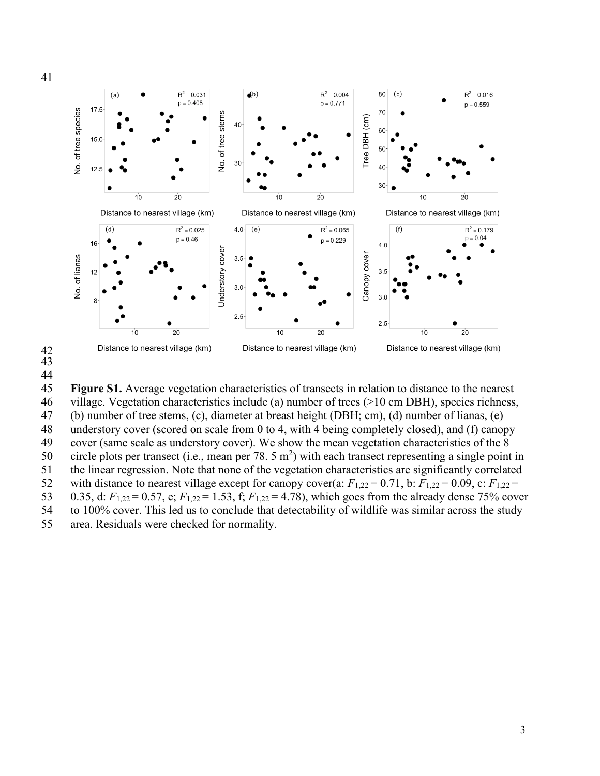

# 42 43 44

Figure S1. Average vegetation characteristics of transects in relation to distance to the nearest

46 village. Vegetation characteristics include (a) number of trees (>10 cm DBH), species richness,

47 (b) number of tree stems, (c), diameter at breast height (DBH; cm), (d) number of lianas, (e)<br>48 understory cover (scored on scale from 0 to 4, with 4 being completely closed), and (f) canor understory cover (scored on scale from  $0$  to 4, with 4 being completely closed), and (f) canopy

49 cover (same scale as understory cover). We show the mean vegetation characteristics of the 8

50 circle plots per transect (i.e., mean per 78.  $5 \text{ m}^2$ ) with each transect representing a single point in

51 the linear regression. Note that none of the vegetation characteristics are significantly correlated

52 with distance to nearest village except for canopy cover(a:  $F_{1,22} = 0.71$ , b:  $F_{1,22} = 0.09$ , c:  $F_{1,22} =$ 

53 0.35, d: *F*1,22 = 0.57, e; *F*1,22 = 1.53, f; *F*1,22 = 4.78), which goes from the already dense 75% cover

54 to 100% cover. This led us to conclude that detectability of wildlife was similar across the study

55 area. Residuals were checked for normality.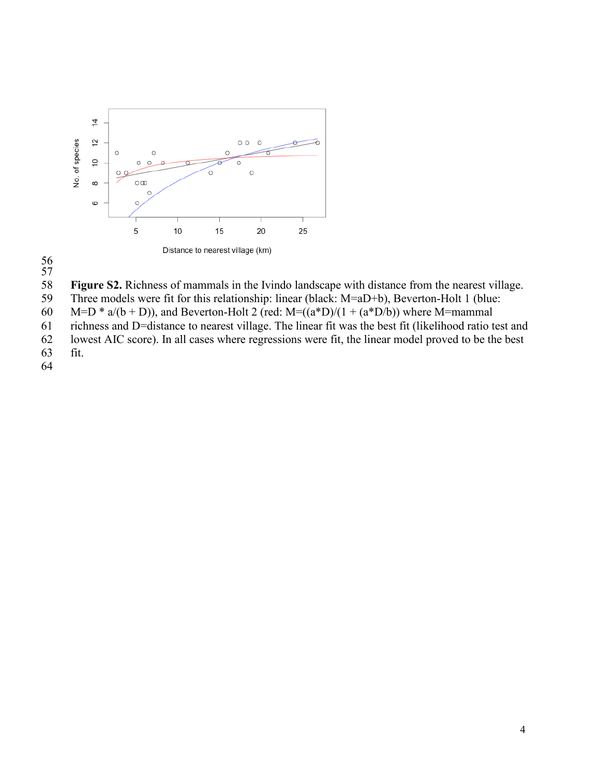



58 **Figure S2.** Richness of mammals in the Ivindo landscape with distance from the nearest village.

59 Three models were fit for this relationship: linear (black: M=aD+b), Beverton-Holt 1 (blue:

60 M=D \* a/(b + D)), and Beverton-Holt 2 (red: M=((a\*D)/(1 + (a\*D/b)) where M=mammal<br>61 richness and D=distance to nearest village. The linear fit was the best fit (likelihood ratio t

richness and D=distance to nearest village. The linear fit was the best fit (likelihood ratio test and

62 lowest AIC score). In all cases where regressions were fit, the linear model proved to be the best

fit.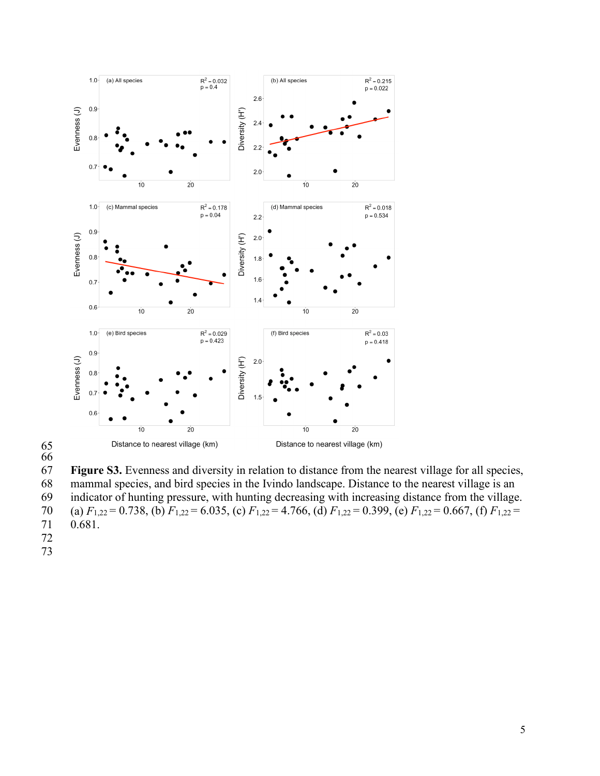

65

66

67 **Figure S3.** Evenness and diversity in relation to distance from the nearest village for all species, 68 mammal species, and bird species in the Ivindo landscape. Distance to the nearest village is an 69 indicator of hunting pressure, with hunting decreasing with increasing distance from the village. 70 (a) *F*1,22 = 0.738, (b) *F*1,22 = 6.035, (c) *F*1,22 = 4.766, (d) *F*1,22 = 0.399, (e) *F*1,22 = 0.667, (f) *F*1,22 = 0.681.

- 72
- 73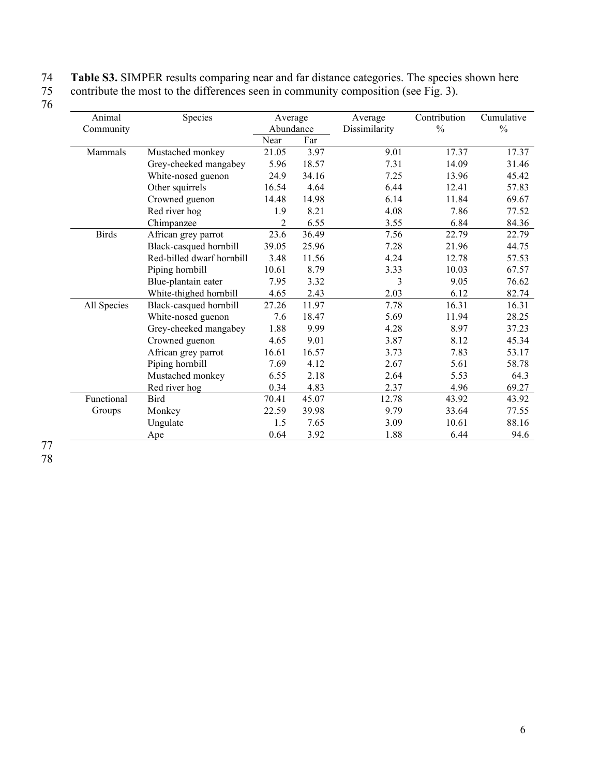#### 74 **Table S3.** SIMPER results comparing near and far distance categories. The species shown here

75 contribute the most to the differences seen in community composition (see Fig. 3). 76

| Animal       | Species                   | Average   |       | Average       | Contribution  | Cumulative    |
|--------------|---------------------------|-----------|-------|---------------|---------------|---------------|
| Community    |                           | Abundance |       | Dissimilarity | $\frac{0}{0}$ | $\frac{0}{0}$ |
|              |                           | Near      | Far   |               |               |               |
| Mammals      | Mustached monkey          | 21.05     | 3.97  | 9.01          | 17.37         | 17.37         |
|              | Grey-cheeked mangabey     | 5.96      | 18.57 | 7.31          | 14.09         | 31.46         |
|              | White-nosed guenon        | 24.9      | 34.16 | 7.25          | 13.96         | 45.42         |
|              | Other squirrels           | 16.54     | 4.64  | 6.44          | 12.41         | 57.83         |
|              | Crowned guenon            | 14.48     | 14.98 | 6.14          | 11.84         | 69.67         |
|              | Red river hog             | 1.9       | 8.21  | 4.08          | 7.86          | 77.52         |
|              | Chimpanzee                | 2         | 6.55  | 3.55          | 6.84          | 84.36         |
| <b>Birds</b> | African grey parrot       | 23.6      | 36.49 | 7.56          | 22.79         | 22.79         |
|              | Black-casqued hornbill    | 39.05     | 25.96 | 7.28          | 21.96         | 44.75         |
|              | Red-billed dwarf hornbill | 3.48      | 11.56 | 4.24          | 12.78         | 57.53         |
|              | Piping hornbill           | 10.61     | 8.79  | 3.33          | 10.03         | 67.57         |
|              | Blue-plantain eater       | 7.95      | 3.32  | 3             | 9.05          | 76.62         |
|              | White-thighed hornbill    | 4.65      | 2.43  | 2.03          | 6.12          | 82.74         |
| All Species  | Black-casqued hornbill    | 27.26     | 11.97 | 7.78          | 16.31         | 16.31         |
|              | White-nosed guenon        | 7.6       | 18.47 | 5.69          | 11.94         | 28.25         |
|              | Grey-cheeked mangabey     | 1.88      | 9.99  | 4.28          | 8.97          | 37.23         |
|              | Crowned guenon            | 4.65      | 9.01  | 3.87          | 8.12          | 45.34         |
|              | African grey parrot       | 16.61     | 16.57 | 3.73          | 7.83          | 53.17         |
|              | Piping hornbill           | 7.69      | 4.12  | 2.67          | 5.61          | 58.78         |
|              | Mustached monkey          | 6.55      | 2.18  | 2.64          | 5.53          | 64.3          |
|              | Red river hog             | 0.34      | 4.83  | 2.37          | 4.96          | 69.27         |
| Functional   | <b>Bird</b>               | 70.41     | 45.07 | 12.78         | 43.92         | 43.92         |
| Groups       | Monkey                    | 22.59     | 39.98 | 9.79          | 33.64         | 77.55         |
|              | Ungulate                  | 1.5       | 7.65  | 3.09          | 10.61         | 88.16         |
|              | Ape                       | 0.64      | 3.92  | 1.88          | 6.44          | 94.6          |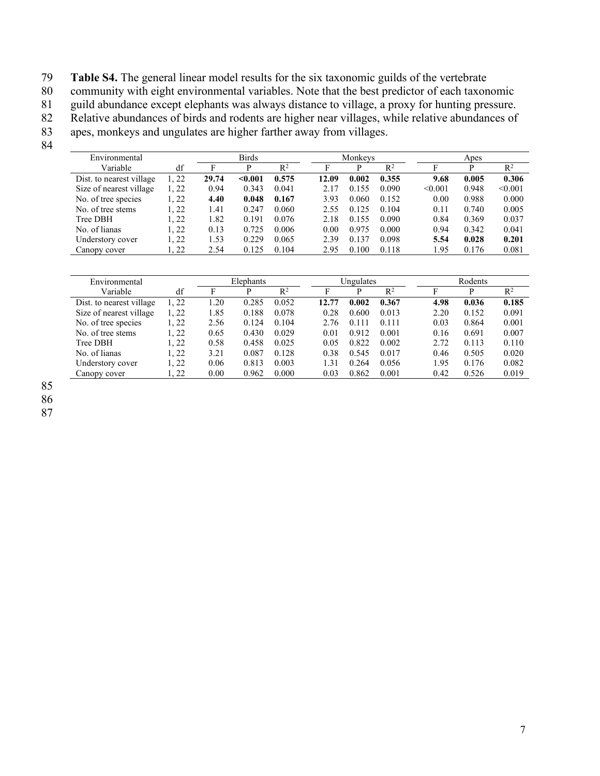79 **Table S4.** The general linear model results for the six taxonomic guilds of the vertebrate<br>80 community with eight environmental variables. Note that the best predictor of each taxon

community with eight environmental variables. Note that the best predictor of each taxonomic

81 guild abundance except elephants was always distance to village, a proxy for hunting pressure.<br>82 Relative abundances of birds and rodents are higher near villages, while relative abundances of

82 Relative abundances of birds and rodents are higher near villages, while relative abundances of apes, monkeys and ungulates are higher farther away from villages.

apes, monkeys and ungulates are higher farther away from villages.

84

| Environmental            |       |       | <b>Birds</b> |       |       | Monkevs |       |         | Apes  |         |
|--------------------------|-------|-------|--------------|-------|-------|---------|-------|---------|-------|---------|
| Variable                 | df    | F     | D            | $R^2$ | F     | D       | $R^2$ |         |       | $R^2$   |
| Dist. to nearest village | 1.22  | 29.74 | $0.001$      | 0.575 | 12.09 | 0.002   | 0.355 | 9.68    | 0.005 | 0.306   |
| Size of nearest village  | 1, 22 | 0.94  | 0.343        | 0.041 | 2.17  | 0.155   | 0.090 | < 0.001 | 0.948 | < 0.001 |
| No. of tree species      | 1, 22 | 4.40  | 0.048        | 0.167 | 3.93  | 0.060   | 0.152 | 0.00    | 0.988 | 0.000   |
| No. of tree stems        | 1, 22 | 1.41  | 0.247        | 0.060 | 2.55  | 0.125   | 0.104 | 0.11    | 0.740 | 0.005   |
| Tree DBH                 | 1.22  | 1.82  | 0.191        | 0.076 | 2.18  | 0.155   | 0.090 | 0.84    | 0.369 | 0.037   |
| No. of lianas            | 1.22  | 0.13  | 0.725        | 0.006 | 0.00  | 0.975   | 0.000 | 0.94    | 0.342 | 0.041   |
| Understory cover         | l. 22 | 1.53  | 0.229        | 0.065 | 2.39  | 0.137   | 0.098 | 5.54    | 0.028 | 0.201   |
| Canopy cover             | l. 22 | 2.54  | 0.125        | 0.104 | 2.95  | 0.100   | 0.118 | 1.95    | 0.176 | 0.081   |

| Environmental            |       | Elephants |       |       |       | Ungulates |       |      | Rodents |                |  |
|--------------------------|-------|-----------|-------|-------|-------|-----------|-------|------|---------|----------------|--|
| Variable                 | df    | Е         | D     | $R^2$ | г     | D         | $R^2$ |      | D       | $\mathbb{R}^2$ |  |
| Dist. to nearest village | 1, 22 | 1.20      | 0.285 | 0.052 | 12.77 | 0.002     | 0.367 | 4.98 | 0.036   | 0.185          |  |
| Size of nearest village  | 1, 22 | 1.85      | 0.188 | 0.078 | 0.28  | 0.600     | 0.013 | 2.20 | 0.152   | 0.091          |  |
| No. of tree species      | 1, 22 | 2.56      | 0.124 | 0.104 | 2.76  | 0.111     | 0.111 | 0.03 | 0.864   | 0.001          |  |
| No. of tree stems        | 1, 22 | 0.65      | 0.430 | 0.029 | 0.01  | 0.912     | 0.001 | 0.16 | 0.691   | 0.007          |  |
| Tree DBH                 | 1.22  | 0.58      | 0.458 | 0.025 | 0.05  | 0.822     | 0.002 | 2.72 | 0.113   | 0.110          |  |
| No. of lianas            | 1.22  | 3.21      | 0.087 | 0.128 | 0.38  | 0.545     | 0.017 | 0.46 | 0.505   | 0.020          |  |
| Understory cover         | 1.22  | 0.06      | 0.813 | 0.003 | 1.31  | 0.264     | 0.056 | 1.95 | 0.176   | 0.082          |  |
| Canopy cover             | 1.22  | 0.00      | 0.962 | 0.000 | 0.03  | 0.862     | 0.001 | 0.42 | 0.526   | 0.019          |  |